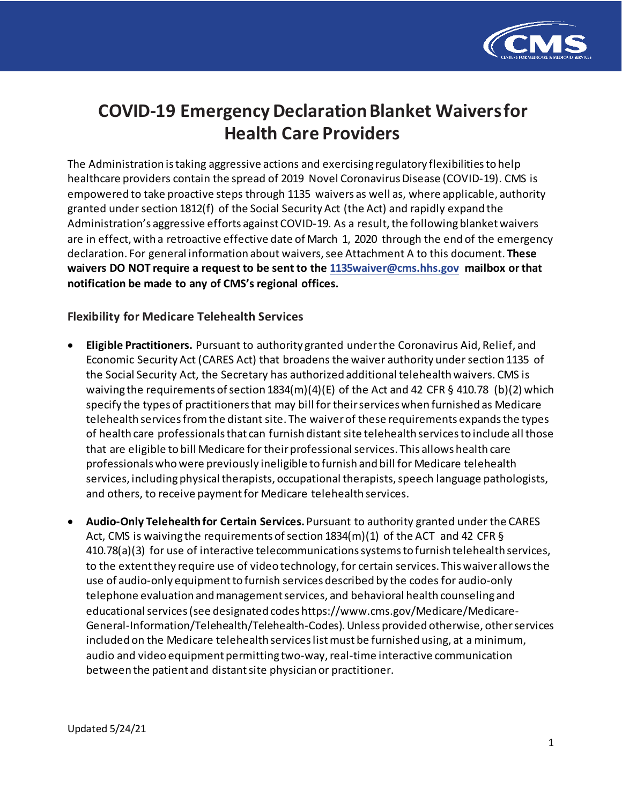

# **COVID-19 Emergency Declaration Blanket Waivers for Health Care Providers**

The Administration is taking aggressive actions and exercising regulatory flexibilities to help healthcare providers contain the spread of 2019 Novel Coronavirus Disease (COVID-19). CMS is empowered to take proactive steps through 1135 waivers as well as, where applicable, authority granted under section 1812(f) of the Social Security Act (the Act) and rapidly expand the Administration's aggressive efforts against COVID-19. As a result, the following blanket waivers are in effect, with a retroactive effective date of March 1, 2020 through the end of the emergency declaration. For general information about waivers, see Attachment A to this document. **These waivers DO NOT require a request to be sent to the [1135waiver@cms.hhs.gov](mailto:1135waiver@cms.hhs.gov) mailbox or that notification be made to any of CMS's regional offices.**

# **Flexibility for Medicare Telehealth Services**

- **Eligible Practitioners.** Pursuant to authority granted under the Coronavirus Aid, Relief, and Economic Security Act (CARES Act) that broadens the waiver authority under section 1135 of the Social Security Act, the Secretary has authorized additional telehealth waivers. CMS is waiving the requirements of section  $1834(m)(4)(E)$  of the Act and 42 CFR § 410.78 (b)(2) which specify the types of practitioners that may bill for their services when furnished as Medicare telehealth services from the distant site. The waiver of these requirements expands the types of health care professionals that can furnish distant site telehealth services to include all those that are eligible to bill Medicare for their professional services. This allows health care professionals who were previously ineligible to furnish and bill for Medicare telehealth services, including physical therapists, occupational therapists, speech language pathologists, and others, to receive payment for Medicare telehealth services.
- **Audio-Only Telehealth for Certain Services.** Pursuant to authority granted under the CARES Act, CMS is waiving the requirements of section  $1834(m)(1)$  of the ACT and 42 CFR § 410.78(a)(3) for use of interactive telecommunications systems to furnish telehealth services, to the extent they require use of video technology, for certain services. This waiver allows the use of audio-only equipment to furnish services described by the codes for audio-only telephone evaluation and management services, and behavioral health counseling and educational services (see designated codes https://www.cms.gov/Medicare/Medicare-General-Information/Telehealth/Telehealth-Codes). Unless provided otherwise, other services included on the Medicare telehealth services list must be furnished using, at a minimum, audio and video equipment permitting two-way, real-time interactive communication between the patient and distant site physician or practitioner.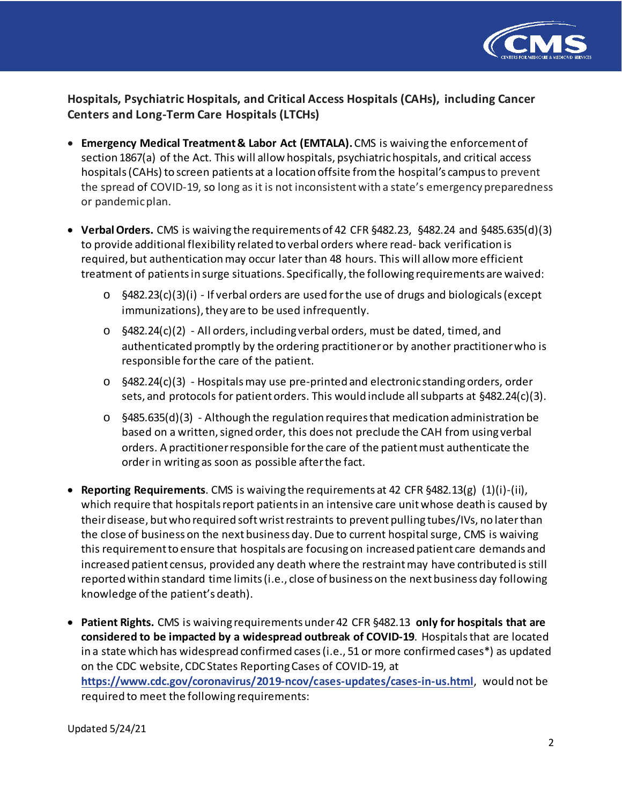

**Hospitals, Psychiatric Hospitals, and Critical Access Hospitals (CAHs), including Cancer Centers and Long-Term Care Hospitals (LTCHs)**

- **Emergency Medical Treatment & Labor Act (EMTALA).** CMS is waiving the enforcement of section 1867(a) of the Act. This will allow hospitals, psychiatric hospitals, and critical access hospitals (CAHs) to screen patients at a location offsite from the hospital's campus to prevent the spread of COVID-19, so long as it is not inconsistent with a state's emergency preparedness or pandemic plan.
- **Verbal Orders.** CMS is waiving the requirements of 42 CFR §482.23, §482.24 and §485.635(d)(3) to provide additional flexibility related to verbal orders where read- back verification is required, but authentication may occur later than 48 hours. This will allow more efficient treatment of patients in surge situations. Specifically, the following requirements are waived:
	- o §482.23(c)(3)(i) If verbal orders are used forthe use of drugs and biologicals(except immunizations), they are to be used infrequently.
	- $\circ$  §482.24(c)(2) All orders, including verbal orders, must be dated, timed, and authenticated promptly by the ordering practitioner or by another practitioner who is responsible for the care of the patient.
	- $\circ$  §482.24(c)(3) Hospitals may use pre-printed and electronic standing orders, order sets, and protocols for patient orders. This would include all subparts at §482.24(c)(3).
	- o §485.635(d)(3) Although the regulation requires that medication administration be based on a written, signed order, this does not preclude the CAH from using verbal orders. A practitioner responsible for the care of the patient must authenticate the order in writing as soon as possible after the fact.
- **Reporting Requirements**. CMS is waiving the requirements at 42 CFR §482.13(g) (1)(i)-(ii), which require that hospitals report patients in an intensive care unit whose death is caused by theirdisease, butwho required softwristrestraints to prevent pulling tubes/IVs, no later than the close of business on the next business day. Due to current hospital surge, CMS is waiving this requirement to ensure that hospitals are focusing on increased patient care demands and increased patient census, provided any death where the restraint may have contributed is still reported within standard time limits (i.e., close of business on the next business day following knowledge of the patient's death).
- **Patient Rights.** CMS is waiving requirements under 42 CFR §482.13 **only for hospitals that are considered to be impacted by a widespread outbreak of COVID-19**. Hospitals that are located in a state which has widespread confirmed cases(i.e., 51 or more confirmed cases\*) as updated on the CDC website, CDC States Reporting Cases of COVID-19, a[t](https://www.cdc.gov/coronavirus/2019-ncov/cases-updates/cases-in-us.html) **<https://www.cdc.gov/coronavirus/2019-ncov/cases-updates/cases-in-us.html>**, would not be required to meet the following requirements: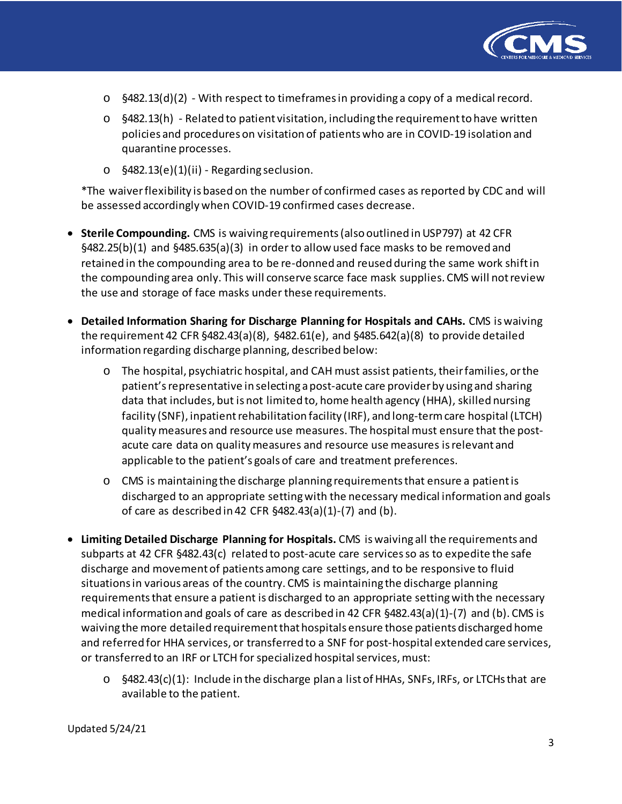

- o §482.13(d)(2) With respect to timeframes in providing a copy of a medical record.
- o §482.13(h) Related to patient visitation, including the requirement to have written policies and procedures on visitation of patients who are in COVID-19 isolation and quarantine processes.
- o §482.13(e)(1)(ii) Regarding seclusion.

\*The waiver flexibility is based on the number of confirmed cases as reported by CDC and will be assessed accordingly when COVID-19 confirmed cases decrease.

- **Sterile Compounding.** CMS is waiving requirements (also outlined in USP797) at 42 CFR §482.25(b)(1) and §485.635(a)(3) in order to allow used face masks to be removed and retained in the compounding area to be re-donned and reused during the same work shift in the compounding area only. This will conserve scarce face mask supplies. CMS will not review the use and storage of face masks under these requirements.
- **Detailed Information Sharing for Discharge Planning for Hospitals and CAHs.** CMS is waiving the requirement 42 CFR §482.43(a)(8), §482.61(e), and §485.642(a)(8) to provide detailed information regarding discharge planning, described below:
	- o The hospital, psychiatric hospital, and CAH must assist patients, their families, or the patient'srepresentative in selecting apost-acute care providerby using and sharing data that includes, but is not limited to, home health agency (HHA), skilled nursing facility (SNF), inpatient rehabilitation facility (IRF), and long-term care hospital (LTCH) quality measures and resource use measures. The hospital must ensure that the postacute care data on quality measures and resource use measures is relevant and applicable to the patient's goals of care and treatment preferences.
	- o CMS is maintaining the discharge planning requirements that ensure a patient is discharged to an appropriate setting with the necessary medical information and goals of care as described in 42 CFR §482.43(a)(1)-(7) and (b).
- **Limiting Detailed Discharge Planning for Hospitals.** CMS is waiving all the requirements and subparts at 42 CFR §482.43(c) related to post-acute care services so as to expedite the safe discharge and movement of patients among care settings, and to be responsive to fluid situations in various areas of the country. CMS is maintaining the discharge planning requirements that ensure a patient is discharged to an appropriate setting with the necessary medical information and goals of care as described in 42 CFR §482.43(a)(1)-(7) and (b). CMS is waiving the more detailed requirementthat hospitals ensure those patients discharged home and referred for HHA services, or transferred to a SNF for post-hospital extended care services, or transferred to an IRF or LTCH for specialized hospital services, must:
	- $\circ$  §482.43(c)(1): Include in the discharge plan a list of HHAs, SNFs, IRFs, or LTCHs that are available to the patient.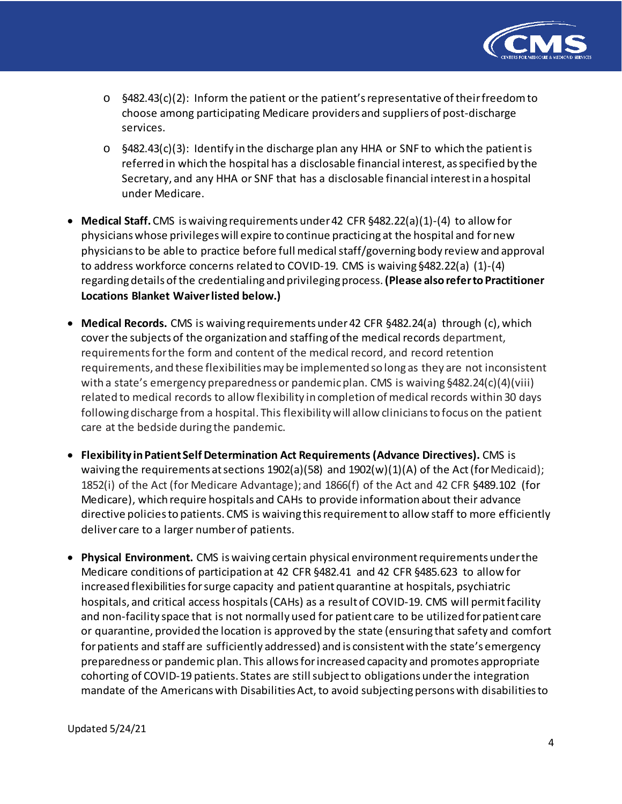

- $\circ$  §482.43(c)(2): Inform the patient or the patient's representative of their freedom to choose among participating Medicare providers and suppliers of post-discharge services.
- $\circ$  §482.43(c)(3): Identify in the discharge plan any HHA or SNF to which the patient is referred in which the hospital has a disclosable financial interest, as specified by the Secretary, and any HHA or SNF that has a disclosable financial interest in a hospital under Medicare.
- **Medical Staff.** CMS is waiving requirements under 42 CFR §482.22(a)(1)-(4) to allow for physicians whose privilegeswill expire to continue practicing at the hospital and fornew physicians to be able to practice before full medical staff/governing body review and approval to address workforce concerns related to COVID-19. CMS is waiving §482.22(a) (1)-(4) regardingdetails ofthe credentialing and privilegingprocess.**(Please alsoreferto Practitioner Locations Blanket Waiver listed below.)**
- **Medical Records.** CMS is waiving requirements under 42 CFR §482.24(a) through (c), which cover the subjects of the organization and staffing of the medical records department, requirements for the form and content of the medical record, and record retention requirements, and these flexibilities may be implemented so long as they are not inconsistent with a state's emergency preparedness or pandemic plan. CMS is waiving §482.24(c)(4)(viii) related to medical records to allow flexibility in completion of medical records within 30 days following discharge from a hospital. This flexibility will allow clinicians to focus on the patient care at the bedside during the pandemic.
- **Flexibility inPatient SelfDetermination Act Requirements (Advance Directives).** CMS is waiving the requirements at sections  $1902(a)(58)$  and  $1902(w)(1)(A)$  of the Act (for Medicaid); 1852(i) of the Act (for Medicare Advantage); and 1866(f) of the Act and 42 CFR §489.102 (for Medicare), which require hospitals and CAHs to provide information about their advance directive policies to patients. CMS is waiving this requirement to allow staff to more efficiently deliver care to a larger number of patients.
- **Physical Environment.** CMS is waiving certain physical environment requirements under the Medicare conditions of participation at 42 CFR §482.41 and 42 CFR §485.623 to allow for increased flexibilities for surge capacity and patient quarantine at hospitals, psychiatric hospitals, and critical access hospitals (CAHs) as a result of COVID-19. CMS will permit facility and non-facility space that is not normally used for patient care to be utilized for patient care or quarantine, provided the location is approved by the state (ensuring that safety and comfort for patients and staff are sufficiently addressed) and is consistent with the state's emergency preparedness or pandemic plan. This allowsforincreased capacity and promotes appropriate cohorting of COVID-19 patients. States are still subject to obligations under the integration mandate of the Americans with Disabilities Act, to avoid subjecting persons with disabilities to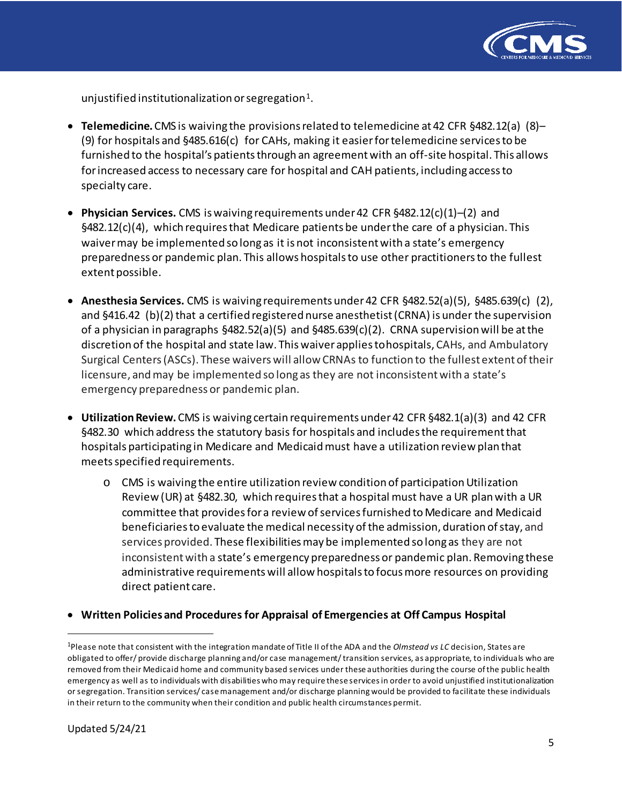

unjustified institutionalization or segregation<sup>1</sup>.

- **Telemedicine.** CMS is waiving the provisions related to telemedicine at 42 CFR §482.12(a) (8)– (9) for hospitals and §485.616(c) for CAHs, making it easier for telemedicine services to be furnished to the hospital's patients through an agreement with an off-site hospital. This allows forincreased access to necessary care for hospital and CAH patients, including access to specialty care.
- **Physician Services.** CMS is waiving requirements under 42 CFR §482.12(c)(1)–(2) and §482.12(c)(4), which requires that Medicare patients be under the care of a physician. This waiver may be implemented so long as it is not inconsistent with a state's emergency preparedness or pandemic plan. This allows hospitals to use other practitioners to the fullest extent possible.
- **Anesthesia Services.** CMS is waiving requirements under 42 CFR §482.52(a)(5), §485.639(c) (2), and §416.42 (b)(2) that a certified registered nurse anesthetist (CRNA) is under the supervision of a physician in paragraphs §482.52(a)(5) and §485.639(c)(2). CRNA supervision will be at the discretion of the hospital and state law. This waiver applies tohospitals, CAHs, and Ambulatory Surgical Centers (ASCs). These waiverswill allow CRNAs to function to the fullest extent of their licensure, and may be implemented so long as they are not inconsistent with a state's emergency preparedness or pandemic plan.
- **UtilizationReview.** CMS is waiving certain requirements under42 CFR §482.1(a)(3) and 42 CFR §482.30 which address the statutory basis for hospitals and includes the requirement that hospitals participating in Medicare and Medicaid must have a utilization review plan that meets specified requirements.
	- o CMS is waiving the entire utilization review condition of participation Utilization Review (UR) at §482.30, which requiresthat a hospital must have a UR planwith a UR committee that provides for a review of services furnished to Medicare and Medicaid beneficiaries to evaluate the medical necessity of the admission, duration of stay, and services provided. These flexibilities may be implemented so long as they are not inconsistent with a state's emergency preparedness or pandemic plan. Removing these administrative requirements will allow hospitals to focus more resources on providing direct patient care.

## • **Written Policies and Procedures for Appraisal of Emergencies at Off Campus Hospital**

<span id="page-4-0"></span> $\overline{1}$ <sup>1</sup>Please note that consistent with the integration mandate of Title II of the ADA and the *Olmstead vs LC* decision, States are obligated to offer/ provide discharge planning and/or case management/ transition services, as appropriate, to individuals who are removed from their Medicaid home and community based services under these authorities during the course of the public health emergency as well as to individuals with disabilities who may require these services in order to avoid unjustified institutionalization or segregation. Transition services/ case management and/or discharge planning would be provided to facilitate these individuals in their return to the community when their condition and public health circumstances permit.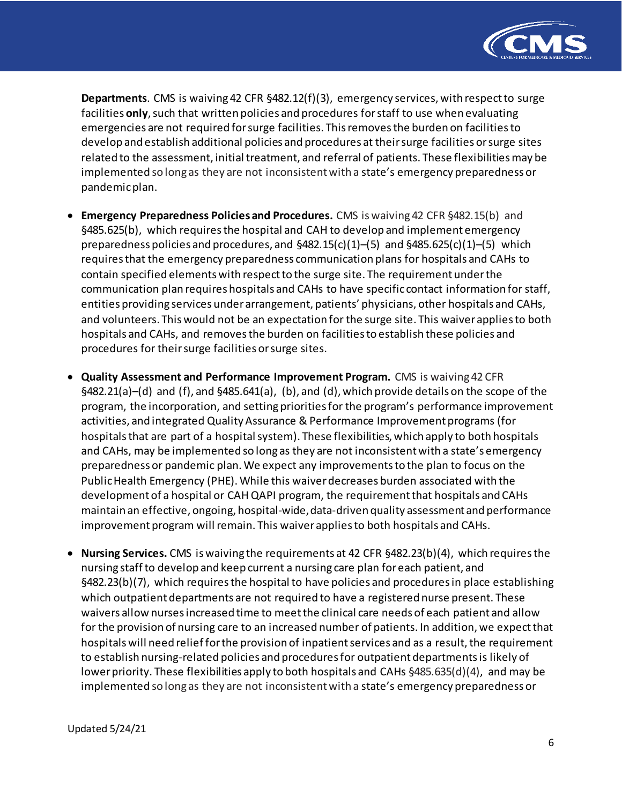

**Departments**. CMS is waiving 42 CFR §482.12(f)(3), emergency services, with respect to surge facilities **only**, such that written policies and procedures for staff to use when evaluating emergencies are not required for surge facilities. This removes the burden on facilitiesto develop and establish additional policies and procedures at theirsurge facilities or surge sites related to the assessment, initial treatment, and referral of patients. These flexibilities may be implemented so long as they are not inconsistent with a state's emergency preparedness or pandemic plan.

- **Emergency Preparedness Policies and Procedures.** CMS iswaiving 42 CFR §482.15(b) and §485.625(b), which requires the hospital and CAH to develop and implement emergency preparedness policies and procedures, and §482.15(c)(1)–(5) and §485.625(c)(1)–(5) which requires that the emergency preparedness communication plans for hospitals and CAHs to contain specified elements with respect to the surge site. The requirement under the communication plan requires hospitals and CAHs to have specific contact information for staff, entities providing services under arrangement, patients' physicians, other hospitals and CAHs, and volunteers. This would not be an expectation for the surge site. This waiver applies to both hospitals and CAHs, and removes the burden on facilities to establish these policies and procedures for their surge facilities or surge sites.
- **Quality Assessment and Performance Improvement Program.** CMS is waiving 42 CFR §482.21(a)–(d) and (f), and §485.641(a), (b), and (d), which provide details on the scope of the program, the incorporation, and setting priorities for the program's performance improvement activities, and integrated Quality Assurance & Performance Improvement programs (for hospitals that are part of a hospital system). These flexibilities, which apply to both hospitals and CAHs, may be implemented so long as they are not inconsistentwith a state's emergency preparedness or pandemic plan. We expect any improvements to the plan to focus on the Public Health Emergency (PHE). While this waiver decreases burden associated with the development of a hospital or CAH QAPI program, the requirement that hospitals and CAHs maintain an effective, ongoing, hospital-wide,data-driven quality assessment and performance improvement program will remain. This waiver applies to both hospitals and CAHs.
- **Nursing Services.** CMS is waiving the requirements at 42 CFR §482.23(b)(4), which requiresthe nursing staffto develop and keep current a nursing care plan foreach patient, and §482.23(b)(7), which requires the hospital to have policies and procedures in place establishing which outpatient departments are not required to have a registered nurse present. These waivers allow nursesincreased time to meetthe clinical care needs of each patient and allow for the provision of nursing care to an increased number of patients. In addition, we expect that hospitals will need relief for the provision of inpatient services and as a result, the requirement to establish nursing-related policies and procedures for outpatient departments is likely of lower priority. These flexibilities apply to both hospitals and CAHs §485.635(d)(4), and may be implemented so long as they are not inconsistent with a state's emergency preparedness or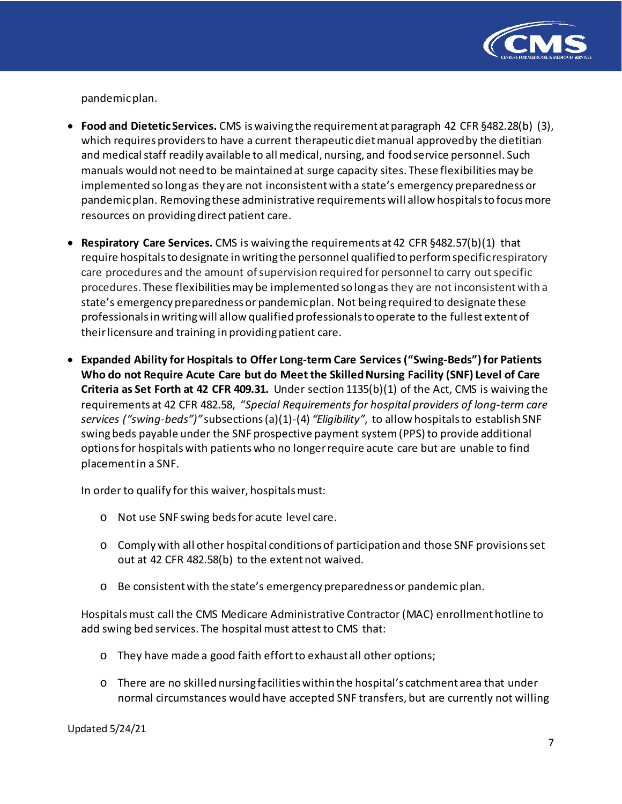

pandemic plan.

- **Food and DieteticServices.** CMS iswaiving the requirement atparagraph 42 CFR §482.28(b) (3), which requires providers to have a current therapeutic diet manual approvedby the dietitian and medical staff readily available to all medical, nursing, and food service personnel. Such manuals would not need to be maintained at surge capacity sites. These flexibilities may be implemented so long as they are not inconsistent with a state's emergency preparedness or pandemic plan. Removing these administrative requirements will allow hospitals to focus more resources on providing direct patient care.
- **Respiratory Care Services.** CMS is waiving the requirements at 42 CFR §482.57(b)(1) that require hospitalsto designate inwriting the personnel qualified to performspecific respiratory care procedures and the amount of supervision required for personnel to carry out specific procedures. These flexibilities may be implemented so long as they are not inconsistent with a state's emergency preparedness or pandemic plan. Not being required to designate these professionals in writing will allow qualified professionals to operate to the fullest extent of their licensure and training in providing patient care.
- **Expanded Ability for Hospitals to Offer Long-term Care Services ("Swing-Beds") for Patients Who do not Require Acute Care but do Meet the Skilled Nursing Facility (SNF) Level of Care Criteria as Set Forth at 42 CFR 409.31.** Under section 1135(b)(1) of the Act, CMS is waiving the requirements at 42 CFR 482.58, "*Special Requirements for hospital providers of long-term care services ("swing-beds")"* subsections (a)(1)-(4) *"Eligibility"*, to allow hospitals to establish SNF swing beds payable under the SNF prospective payment system (PPS) to provide additional optionsfor hospitals with patients who no longer require acute care but are unable to find placement in a SNF.

In order to qualify for this waiver, hospitals must:

- o Not use SNF swing beds for acute level care.
- o Comply with all other hospital conditions of participation and those SNF provisions set out at 42 CFR 482.58(b) to the extent not waived.
- o Be consistent with the state's emergency preparedness or pandemic plan.

Hospitals must call the CMS Medicare Administrative Contractor (MAC) enrollment hotline to add swing bed services. The hospital must attest to CMS that:

- o They have made a good faith effort to exhaust all other options;
- o There are no skilled nursing facilities within the hospital's catchment area that under normal circumstances would have accepted SNF transfers, but are currently not willing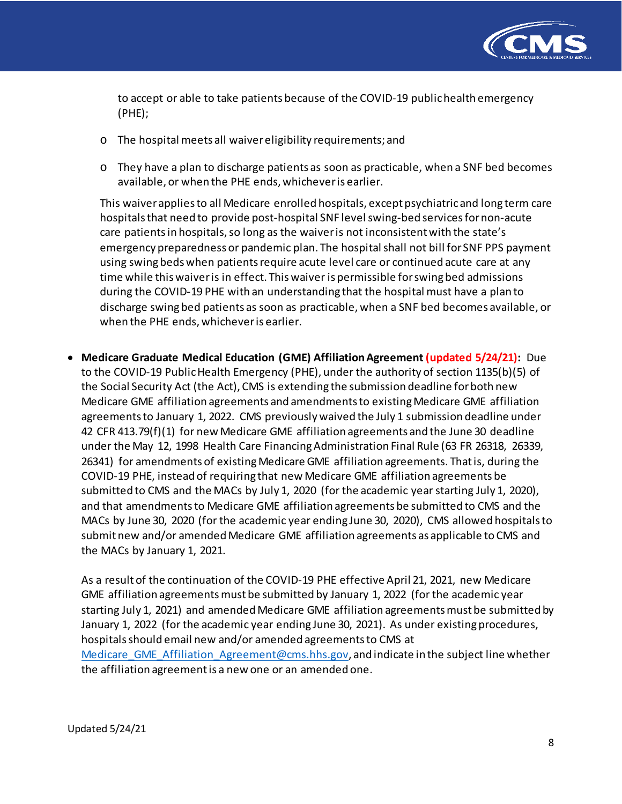

to accept or able to take patients because of the COVID-19 public health emergency (PHE);

- o The hospital meets all waiver eligibility requirements; and
- o They have a plan to discharge patients as soon as practicable, when a SNF bed becomes available, or when the PHE ends, whichever is earlier.

This waiver applies to all Medicare enrolled hospitals, except psychiatricand long term care hospitals that need to provide post-hospital SNF level swing-bed services for non-acute care patients in hospitals, so long as the waiver is not inconsistent with the state's emergency preparedness or pandemic plan. The hospital shall not bill for SNF PPS payment using swing beds when patients require acute level care or continued acute care at any time while this waiver is in effect. This waiver is permissible for swing bed admissions during the COVID-19 PHE with an understanding that the hospital must have a plan to discharge swing bed patients as soon as practicable, when a SNF bed becomes available, or when the PHE ends, whichever is earlier.

• **Medicare Graduate Medical Education (GME) Affiliation Agreement (updated 5/24/21):** Due to the COVID-19 Public Health Emergency (PHE), under the authority of section 1135(b)(5) of the Social Security Act (the Act), CMS is extending the submission deadline for both new Medicare GME affiliation agreements and amendments to existing Medicare GME affiliation agreements to January 1, 2022. CMS previously waived the July 1 submission deadline under 42 CFR 413.79(f)(1) for new Medicare GME affiliation agreements and the June 30 deadline under the May 12, 1998 Health Care Financing Administration Final Rule (63 FR 26318, 26339, 26341) for amendments of existing Medicare GME affiliation agreements. That is, during the COVID-19 PHE, instead of requiring that new Medicare GME affiliation agreements be submitted to CMS and the MACs by July 1, 2020 (for the academic year starting July 1, 2020), and that amendments to Medicare GME affiliation agreements be submitted to CMS and the MACs by June 30, 2020 (for the academic year ending June 30, 2020), CMS allowed hospitals to submit new and/or amended Medicare GME affiliation agreements as applicable to CMS and the MACs by January 1, 2021.

As a result of the continuation of the COVID-19 PHE effective April 21, 2021, new Medicare GME affiliation agreements must be submitted by January 1, 2022 (for the academic year starting July 1, 2021) and amended Medicare GME affiliation agreements must be submitted by January 1, 2022 (for the academic year ending June 30, 2021). As under existing procedures, hospitals should email new and/or amended agreements to CMS at Medicare GME Affiliation Agreement@cms.hhs.gov, and indicate in the subject line whether the affiliation agreement is a new one or an amended one.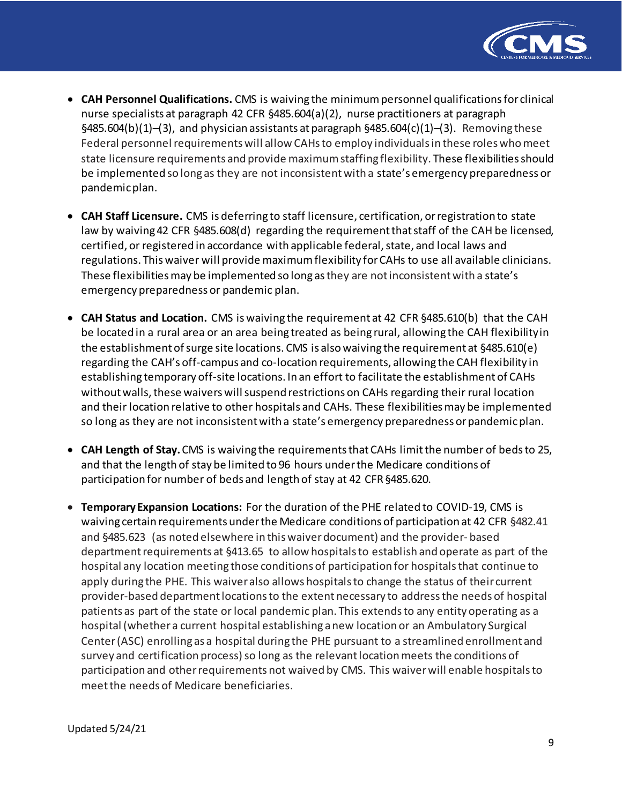

- **CAH Personnel Qualifications.** CMS is waiving the minimum personnel qualifications for clinical nurse specialists at paragraph 42 CFR §485.604(a)(2), nurse practitioners at paragraph  $§485.604(b)(1)–(3)$ , and physician assistants at paragraph  $§485.604(c)(1)–(3)$ . Removing these Federal personnel requirements will allow CAHs to employ individuals in these roles who meet state licensure requirements and provide maximumstaffing flexibility. These flexibilities should be implemented so long as they are not inconsistent with a state's emergency preparedness or pandemic plan.
- **CAH Staff Licensure.** CMS is deferring to staff licensure, certification, or registration to state law by waiving 42 CFR §485.608(d) regarding the requirement that staff of the CAH be licensed, certified, or registered in accordance with applicable federal, state, and local laws and regulations. This waiver will provide maximum flexibility for CAHs to use all available clinicians. These flexibilitiesmay be implemented so long asthey are notinconsistentwith a state's emergency preparedness or pandemic plan.
- **CAH Status and Location.** CMS is waiving the requirement at 42 CFR §485.610(b) that the CAH be located in a rural area or an area being treated as being rural, allowing the CAH flexibilityin the establishment of surge site locations. CMS is also waiving the requirement at  $§485.610(e)$ regarding the CAH's off-campus and co-location requirements, allowing the CAH flexibility in establishing temporary off-site locations. In an effort to facilitate the establishment of CAHs without walls, these waivers will suspend restrictions on CAHs regarding their rural location and their location relative to other hospitals and CAHs. These flexibilities may be implemented so long as they are not inconsistent with a state's emergency preparedness or pandemicplan.
- **CAH Length of Stay.** CMS is waiving the requirements that CAHs limit the number of beds to 25, and that the length of stay be limited to 96 hours underthe Medicare conditions of participation for number of beds and length of stay at 42 CFR§485.620.
- **Temporary Expansion Locations:** For the duration of the PHE related to COVID-19, CMS is waiving certain requirements underthe Medicare conditions of participation at 42 CFR §482.41 and §485.623 (as noted elsewhere in this waiver document) and the provider- based department requirements at §413.65 to allow hospitals to establish and operate as part of the hospital any location meeting those conditions of participation for hospitals that continue to apply during the PHE. This waiver also allows hospitals to change the status of their current provider-based department locations to the extent necessary to address the needs of hospital patients as part of the state or local pandemic plan. This extends to any entity operating as a hospital (whether a current hospital establishing a new location or an Ambulatory Surgical Center (ASC) enrolling as a hospital during the PHE pursuant to a streamlined enrollment and survey and certification process) so long as the relevant location meets the conditions of participation and other requirements not waived by CMS. This waiver will enable hospitals to meet the needs of Medicare beneficiaries.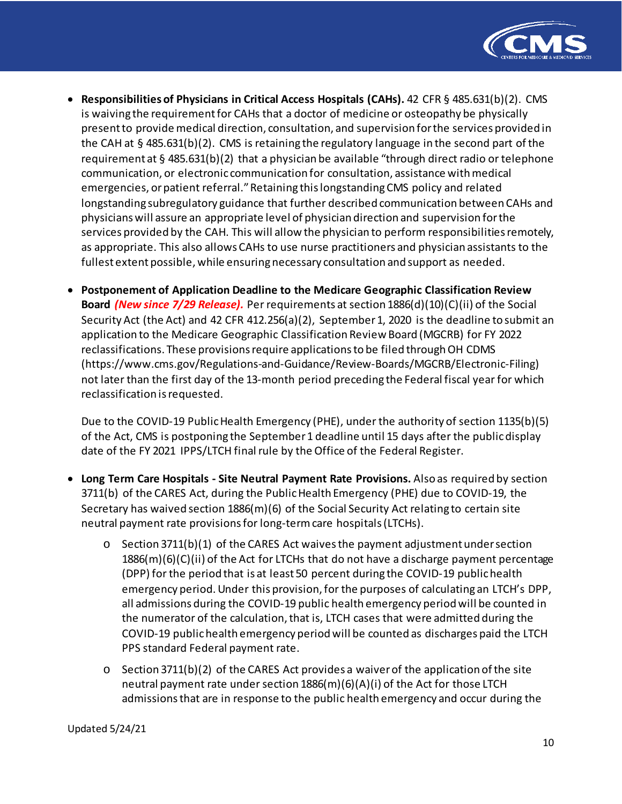

- **Responsibilities of Physicians in Critical Access Hospitals (CAHs).** 42 CFR § 485.631(b)(2). CMS is waiving the requirement for CAHs that a doctor of medicine or osteopathy be physically present to provide medical direction, consultation, and supervision for the services provided in the CAH at § 485.631(b)(2). CMS is retaining the regulatory language in the second part of the requirement at § 485.631(b)(2) that a physician be available "through direct radio or telephone communication, or electronic communication for consultation, assistance with medical emergencies, or patient referral." Retaining this longstanding CMS policy and related longstanding subregulatory guidance that further described communication between CAHs and physicians will assure an appropriate level of physician direction and supervision for the services provided by the CAH. This will allow the physician to perform responsibilitiesremotely, as appropriate. This also allows CAHs to use nurse practitioners and physician assistants to the fullest extent possible, while ensuring necessary consultation and support as needed.
- **Postponement of Application Deadline to the Medicare Geographic Classification Review Board** *(New since 7/29 Release).* Per requirements at section 1886(d)(10)(C)(ii) of the Social Security Act (the Act) and 42 CFR 412.256(a)(2), September 1, 2020 is the deadline to submit an application to the Medicare Geographic Classification Review Board (MGCRB) for FY 2022 reclassifications. These provisions require applications to be filed through OH CDMS (https://www.cms.gov/Regulations-and-Guidance/Review-Boards/MGCRB/Electronic-Filing) not later than the first day of the 13-month period preceding the Federal fiscal year for which reclassification is requested.

Due to the COVID-19 Public Health Emergency (PHE), under the authority of section 1135(b)(5) of the Act, CMS is postponing the September 1 deadline until 15 days after the public display date of the FY 2021 IPPS/LTCH final rule by the Office of the Federal Register.

- **Long Term Care Hospitals - Site Neutral Payment Rate Provisions.** Also as required by section 3711(b) of the CARES Act, during the Public Health Emergency (PHE) due to COVID-19, the Secretary has waived section 1886(m)(6) of the Social Security Act relating to certain site neutral payment rate provisions for long-term care hospitals (LTCHs).
	- $\circ$  Section 3711(b)(1) of the CARES Act waives the payment adjustment under section  $1886(m)(6)(C)(ii)$  of the Act for LTCHs that do not have a discharge payment percentage (DPP) for the period that is at least 50 percent during the COVID-19 public health emergency period. Under this provision, for the purposes of calculating an LTCH's DPP, all admissions during the COVID-19 public health emergency period will be counted in the numerator of the calculation, that is, LTCH cases that were admitted during the COVID-19 public health emergency period will be counted as discharges paid the LTCH PPS standard Federal payment rate.
	- o Section 3711(b)(2) of the CARES Act provides a waiver of the application of the site neutral payment rate under section 1886(m)(6)(A)(i) of the Act for those LTCH admissions that are in response to the public health emergency and occur during the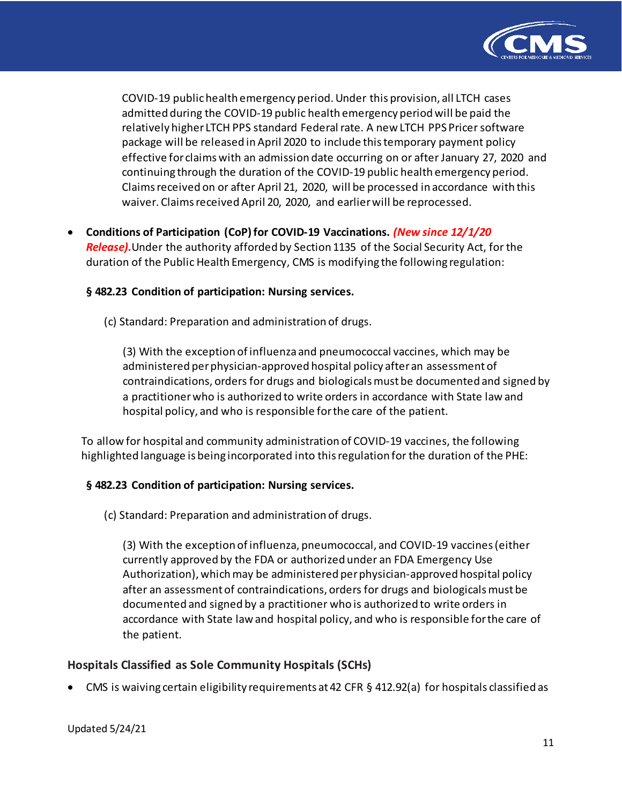

COVID-19 public health emergency period. Under this provision, all LTCH cases admitted during the COVID-19 public health emergency period will be paid the relatively higher LTCH PPS standard Federal rate. A new LTCH PPS Pricer software package will be released in April 2020 to include this temporary payment policy effective for claims with an admission date occurring on or after January 27, 2020 and continuing through the duration of the COVID-19 public health emergency period. Claims received on or after April 21, 2020, will be processed in accordance with this waiver. Claims received April 20, 2020, and earlier will be reprocessed.

• **Conditions of Participation (CoP) for COVID-19 Vaccinations.** *(New since 12/1/20 Release).*Under the authority afforded by Section 1135 of the Social Security Act, for the duration of the Public Health Emergency, CMS is modifying the following regulation:

### **§ 482.23 Condition of participation: Nursing services.**

(c) Standard: Preparation and administration of drugs.

(3) With the exception of influenza and pneumococcal vaccines, which may be administered per physician-approved hospital policy after an assessment of contraindications, orders for drugs and biologicals must be documented and signed by a practitioner who is authorized to write orders in accordance with State law and hospital policy, and who is responsible for the care of the patient.

To allow for hospital and community administration of COVID-19 vaccines, the following highlighted language is being incorporated into this regulation for the duration of the PHE:

#### **§ 482.23 Condition of participation: Nursing services.**

(c) Standard: Preparation and administration of drugs.

(3) With the exception of influenza, pneumococcal, and COVID-19 vaccines (either currently approved by the FDA or authorized under an FDA Emergency Use Authorization), which may be administered per physician-approved hospital policy after an assessment of contraindications, orders for drugs and biologicals must be documented and signed by a practitioner who is authorized to write orders in accordance with State law and hospital policy, and who is responsible for the care of the patient.

#### **Hospitals Classified as Sole Community Hospitals (SCHs)**

• CMS is waiving certain eligibility requirements at 42 CFR § 412.92(a) for hospitals classified as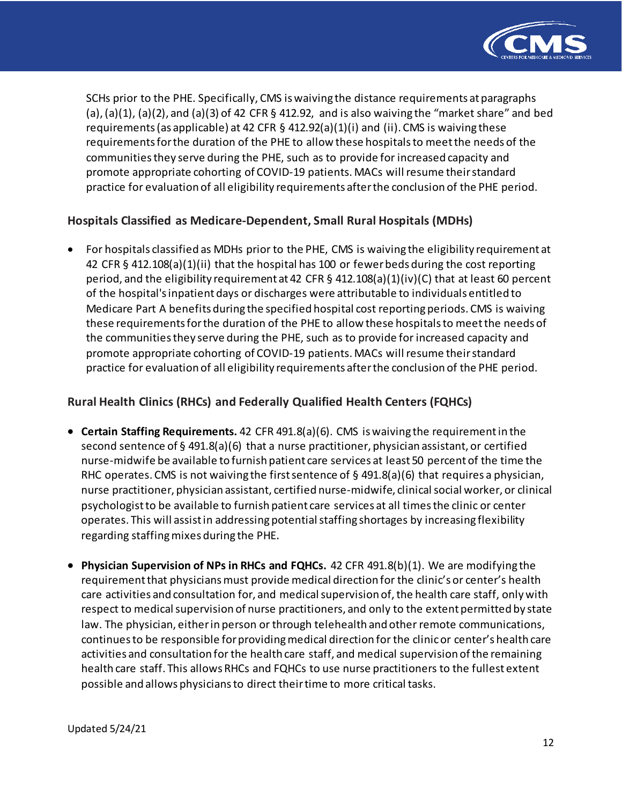

SCHs prior to the PHE. Specifically, CMS is waiving the distance requirements at paragraphs (a), (a)(1), (a)(2), and (a)(3) of 42 CFR  $\S$  412.92, and is also waiving the "market share" and bed requirements (as applicable) at 42 CFR § 412.92(a)(1)(i) and (ii). CMS is waiving these requirements for the duration of the PHE to allow these hospitals to meet the needs of the communities they serve during the PHE, such as to provide for increased capacity and promote appropriate cohorting of COVID-19 patients. MACs will resume their standard practice for evaluation of all eligibility requirements after the conclusion of the PHE period.

# **Hospitals Classified as Medicare-Dependent, Small Rural Hospitals (MDHs)**

• For hospitals classified as MDHs prior to the PHE, CMS is waiving the eligibility requirement at 42 CFR § 412.108(a)(1)(ii) that the hospital has 100 or fewer beds during the cost reporting period, and the eligibility requirement at 42 CFR § 412.108(a)(1)(iv)(C) that at least 60 percent of the hospital's inpatient days or discharges were attributable to individuals entitled to Medicare Part A benefits during the specified hospital cost reporting periods. CMS is waiving these requirements for the duration of the PHE to allow these hospitals to meet the needs of the communities they serve during the PHE, such as to provide for increased capacity and promote appropriate cohorting of COVID-19 patients. MACs will resume their standard practice for evaluation of all eligibility requirements after the conclusion of the PHE period.

# **Rural Health Clinics (RHCs) and Federally Qualified Health Centers (FQHCs)**

- **Certain Staffing Requirements.** 42 CFR 491.8(a)(6). CMS is waiving the requirement in the second sentence of § 491.8(a)(6) that a nurse practitioner, physician assistant, or certified nurse-midwife be available to furnish patient care services at least 50 percent of the time the RHC operates. CMS is not waiving the first sentence of  $\S$  491.8(a)(6) that requires a physician, nurse practitioner, physician assistant, certified nurse-midwife, clinical social worker, or clinical psychologist to be available to furnish patient care services at all times the clinic or center operates. This will assist in addressing potential staffing shortages by increasing flexibility regarding staffing mixes during the PHE.
- **Physician Supervision of NPs in RHCs and FQHCs.** 42 CFR 491.8(b)(1). We are modifying the requirement that physicians must provide medical direction for the clinic's or center's health care activities and consultation for, and medical supervision of, the health care staff, only with respect to medical supervision of nurse practitioners, and only to the extent permitted by state law. The physician, either in person or through telehealth and other remote communications, continues to be responsible for providing medical direction for the clinic or center's health care activities and consultation for the health care staff, and medical supervision of the remaining health care staff. This allows RHCs and FQHCs to use nurse practitioners to the fullest extent possible and allows physicians to direct their time to more critical tasks.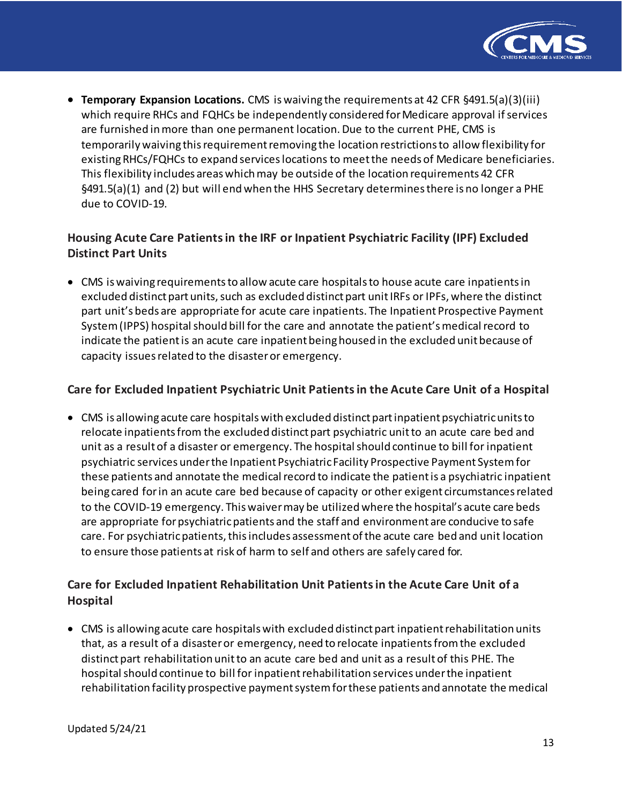

• **Temporary Expansion Locations.** CMS is waiving the requirements at 42 CFR §491.5(a)(3)(iii) which require RHCs and FQHCs be independently considered for Medicare approval if services are furnished in more than one permanent location. Due to the current PHE, CMS is temporarily waiving this requirement removing the location restrictions to allow flexibility for existing RHCs/FQHCs to expand services locations to meet the needs of Medicare beneficiaries. This flexibility includes areas which may be outside of the location requirements 42 CFR §491.5(a)(1) and (2) but will end when the HHS Secretary determines there is no longer a PHE due to COVID-19.

# **Housing Acute Care Patients in the IRF or Inpatient Psychiatric Facility (IPF) Excluded Distinct Part Units**

• CMS is waiving requirements to allow acute care hospitals to house acute care inpatients in excluded distinct part units, such as excluded distinct part unit IRFs or IPFs, where the distinct part unit's beds are appropriate for acute care inpatients. The Inpatient Prospective Payment System (IPPS) hospital should bill for the care and annotate the patient's medical record to indicate the patient is an acute care inpatient being housed in the excluded unit because of capacity issues related to the disaster or emergency.

# **Care for Excluded Inpatient Psychiatric Unit Patients in the Acute Care Unit of a Hospital**

• CMS is allowing acute care hospitalswith excluded distinct partinpatient psychiatricunitsto relocate inpatients from the excluded distinct part psychiatric unit to an acute care bed and unit as a result of a disaster or emergency. The hospital should continue to bill for inpatient psychiatric services underthe Inpatient PsychiatricFacility Prospective Payment Systemfor these patients and annotate the medical record to indicate the patient is a psychiatric inpatient being cared for in an acute care bed because of capacity or other exigent circumstances related to the COVID-19 emergency. This waiver may be utilized where the hospital's acute care beds are appropriate forpsychiatricpatients and the staff and environment are conducive to safe care. For psychiatric patients, this includes assessment of the acute care bed and unit location to ensure those patients at risk of harm to self and others are safely cared for.

# **Care for Excluded Inpatient Rehabilitation Unit Patients in the Acute Care Unit of a Hospital**

• CMS is allowing acute care hospitals with excluded distinct part inpatient rehabilitation units that, as a result of a disaster or emergency, need to relocate inpatients from the excluded distinct part rehabilitation unit to an acute care bed and unit as a result of this PHE. The hospital should continue to bill for inpatient rehabilitation services under the inpatient rehabilitation facility prospective payment system for these patients and annotate the medical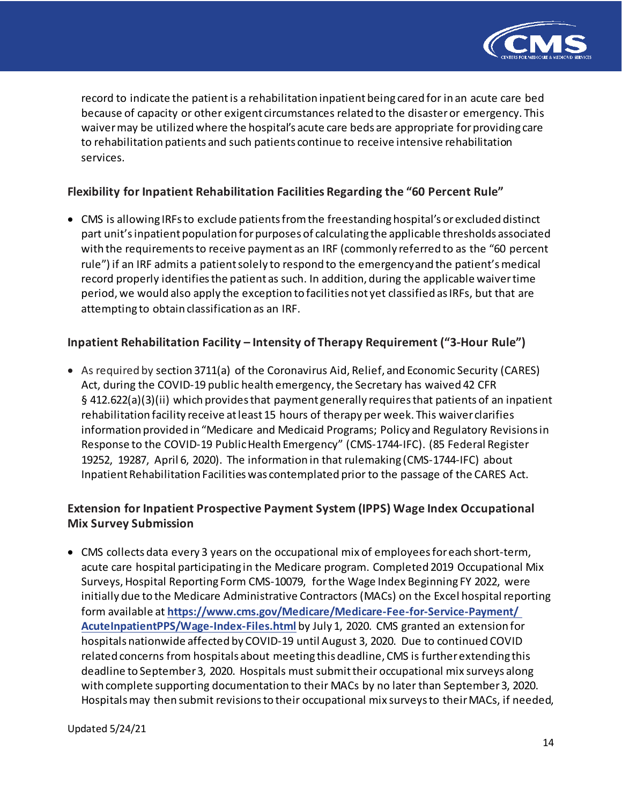

record to indicate the patient is a rehabilitation inpatient being cared for in an acute care bed because of capacity or other exigent circumstances related to the disaster or emergency. This waivermay be utilizedwhere the hospital's acute care beds are appropriate for providing care to rehabilitation patients and such patients continue to receive intensive rehabilitation services.

# **Flexibility for Inpatient Rehabilitation Facilities Regarding the "60 Percent Rule"**

• CMS is allowing IRFs to exclude patients from the freestanding hospital's or excluded distinct part unit'sinpatient population forpurposes of calculating the applicable thresholds associated with the requirements to receive payment as an IRF (commonly referred to as the "60 percent rule") if an IRF admits a patient solely to respond to the emergencyand the patient's medical record properly identifies the patient as such. In addition, during the applicable waiver time period, we would also apply the exception to facilities not yet classified as IRFs, but that are attempting to obtain classification as an IRF.

## **Inpatient Rehabilitation Facility – Intensity of Therapy Requirement ("3-Hour Rule")**

• As required by section 3711(a) of the Coronavirus Aid, Relief, and Economic Security (CARES) Act, during the COVID-19 public health emergency, the Secretary has waived 42 CFR § 412.622(a)(3)(ii) which provides that payment generally requires that patients of an inpatient rehabilitation facility receive at least 15 hours of therapy per week. This waiver clarifies information provided in "Medicare and Medicaid Programs; Policy and Regulatory Revisions in Response to the COVID-19 Public Health Emergency" (CMS-1744-IFC). (85 Federal Register 19252, 19287, April 6, 2020). The information in that rulemaking (CMS-1744-IFC) about Inpatient Rehabilitation Facilities was contemplated prior to the passage of the CARES Act.

# **Extension for Inpatient Prospective Payment System (IPPS) Wage Index Occupational Mix Survey Submission**

• CMS collects data every 3 years on the occupational mix of employees for each short-term, acute care hospital participating in the Medicare program. Completed 2019 Occupational Mix Surveys, Hospital Reporting Form CMS-10079, for the Wage Index Beginning FY 2022, were initially due to the Medicare Administrative Contractors (MACs) on the Excel hospital reporting form available at **[https://www.cms.gov/Medicare/Medicare-Fee-for-Service-Payment/](https://www.cms.gov/Medicare/Medicare-Fee-for-Service-Payment/AcuteInpatientPPS/Wage-Index-Files.html) [AcuteInpatientPPS/Wage-Index-Files.html](https://www.cms.gov/Medicare/Medicare-Fee-for-Service-Payment/AcuteInpatientPPS/Wage-Index-Files.html)** by July 1, 2020. CMS granted an extension for hospitals nationwide affected by COVID-19 until August 3, 2020. Due to continued COVID related concerns from hospitals about meeting this deadline, CMS is further extending this deadline to September 3, 2020. Hospitals must submit their occupational mix surveys along with complete supporting documentation to their MACs by no later than September 3, 2020. Hospitals may then submit revisions to their occupational mix surveys to their MACs, if needed,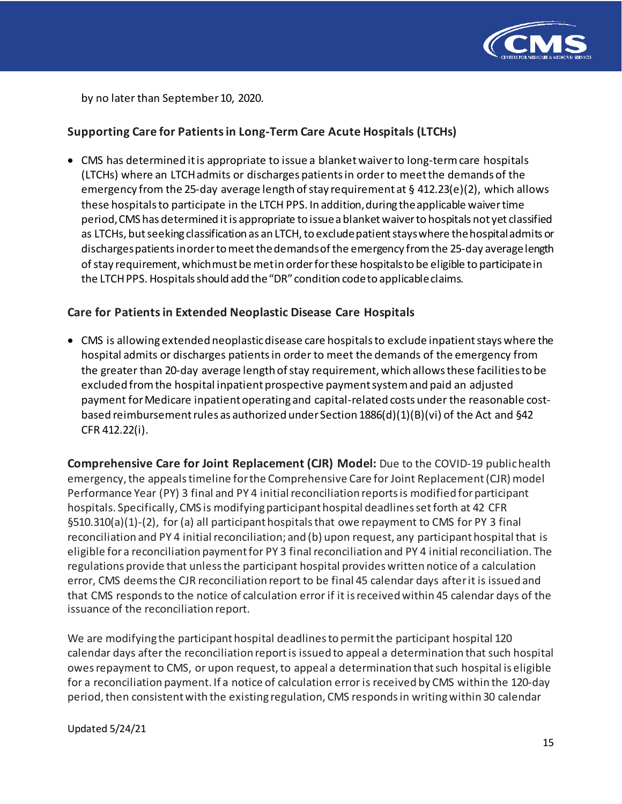

by no later than September 10, 2020.

# **Supporting Care for Patients in Long-Term Care Acute Hospitals (LTCHs)**

• CMS has determined it is appropriate to issue a blanket waiver to long-term care hospitals (LTCHs) where an LTCH admits or discharges patients in order to meetthe demands of the emergency from the 25-day average length of stay requirement at  $\S$  412.23(e)(2), which allows these hospitalsto participate in the LTCH PPS. In addition, during the applicable waiver time period, CMS has determined it is appropriate to issue a blanketwaiver to hospitals not yet classified as LTCHs, but seeking classification as an LTCH, to exclude patient stays where the hospital admits or discharges patients in order to meet the demands of the emergency from the 25-day average length of stay requirement, which must be met in order for these hospitals to be eligible to participate in the LTCH PPS. Hospitals should add the "DR" condition code to applicable claims.

## **Care for Patients in Extended Neoplastic Disease Care Hospitals**

• CMS is allowing extended neoplastic disease care hospitals to exclude inpatient stays where the hospital admits or discharges patients in order to meet the demands of the emergency from the greater than 20-day average length of stay requirement, which allows these facilities to be excluded from the hospital inpatient prospective payment system and paid an adjusted payment for Medicare inpatient operating and capital-related costs under the reasonable costbased reimbursement rules as authorized under Section 1886(d)(1)(B)(vi) of the Act and §42 CFR 412.22(i).

**Comprehensive Care for Joint Replacement (CJR) Model:** Due to the COVID-19 public health emergency, the appeals timeline for the Comprehensive Care for Joint Replacement (CJR) model Performance Year (PY) 3 final and PY 4 initial reconciliation reports is modified for participant hospitals. Specifically, CMS is modifying participant hospital deadlines setforth at 42 CFR §510.310(a)(1)-(2), for (a) all participant hospitals that owe repayment to CMS for PY 3 final reconciliation and PY 4 initial reconciliation; and (b) upon request, any participant hospital that is eligible for a reconciliation payment for PY 3 final reconciliation and PY 4 initial reconciliation. The regulations provide that unless the participant hospital provides written notice of a calculation error, CMS deems the CJR reconciliation report to be final 45 calendar days after it is issued and that CMS responds to the notice of calculation error if it is received within 45 calendar days of the issuance of the reconciliation report.

We are modifying the participant hospital deadlines to permit the participant hospital 120 calendar days after the reconciliation report is issued to appeal a determination that such hospital owes repayment to CMS, or upon request, to appeal a determination that such hospital is eligible for a reconciliation payment. If a notice of calculation error is received by CMS within the 120-day period, then consistent with the existing regulation, CMS responds in writing within 30 calendar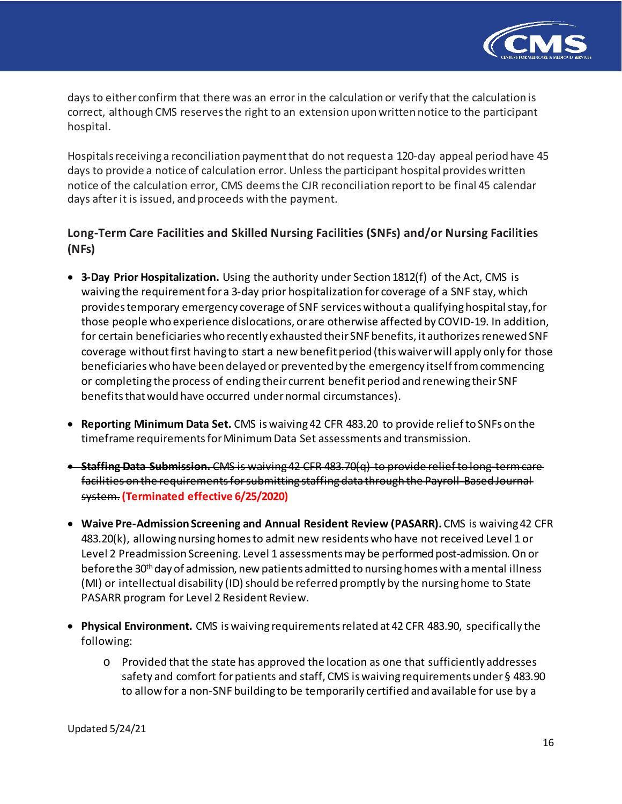

days to either confirm that there was an error in the calculation or verify that the calculation is correct, although CMS reserves the right to an extension upon written notice to the participant hospital.

Hospitals receiving a reconciliation payment that do not request a 120-day appeal period have 45 days to provide a notice of calculation error. Unless the participant hospital provides written notice of the calculation error, CMS deems the CJR reconciliation report to be final 45 calendar days after it is issued, and proceeds with the payment.

# **Long-Term Care Facilities and Skilled Nursing Facilities (SNFs) and/or Nursing Facilities (NFs)**

- **3-Day Prior Hospitalization.** Using the authority under Section 1812(f) of the Act, CMS is waiving the requirement for a 3-day prior hospitalization for coverage of a SNF stay, which provides temporary emergency coverage of SNF services without a qualifying hospital stay, for those people who experience dislocations, or are otherwise affected by COVID-19. In addition, for certain beneficiaries who recently exhausted their SNF benefits, it authorizes renewed SNF coverage without first having to start a new benefit period (this waiver will apply only for those beneficiaries who have been delayed or prevented by the emergency itself from commencing or completing the process of ending their current benefit period and renewing their SNF benefits that would have occurred under normal circumstances).
- **Reporting Minimum Data Set.** CMS iswaiving 42 CFR 483.20 to provide reliefto SNFs on the timeframe requirements for Minimum Data Set assessments and transmission.
- **Staffing Data Submission.** CMS is waiving 42 CFR 483.70(q) to provide reliefto long-term care facilities on the requirements for submitting staffing data through the Payroll-Based Journal system.**(Terminated effective 6/25/2020)**
- **Waive Pre-Admission Screening and Annual Resident Review (PASARR).** CMS is waiving 42 CFR 483.20(k), allowing nursing homes to admit new residents who have not received Level 1 or Level 2 Preadmission Screening. Level 1 assessmentsmay be performed post-admission. On or before the 30<sup>th</sup> day of admission, new patients admitted to nursing homes with a mental illness (MI) or intellectual disability (ID) should be referred promptly by the nursing home to State PASARR program for Level 2 Resident Review.
- **Physical Environment.** CMS iswaiving requirementsrelated at 42 CFR 483.90, specifically the following:
	- o Provided that the state has approved the location as one that sufficiently addresses safety and comfort for patients and staff, CMS is waiving requirements under § 483.90 to allow for a non-SNF building to be temporarily certified and available for use by a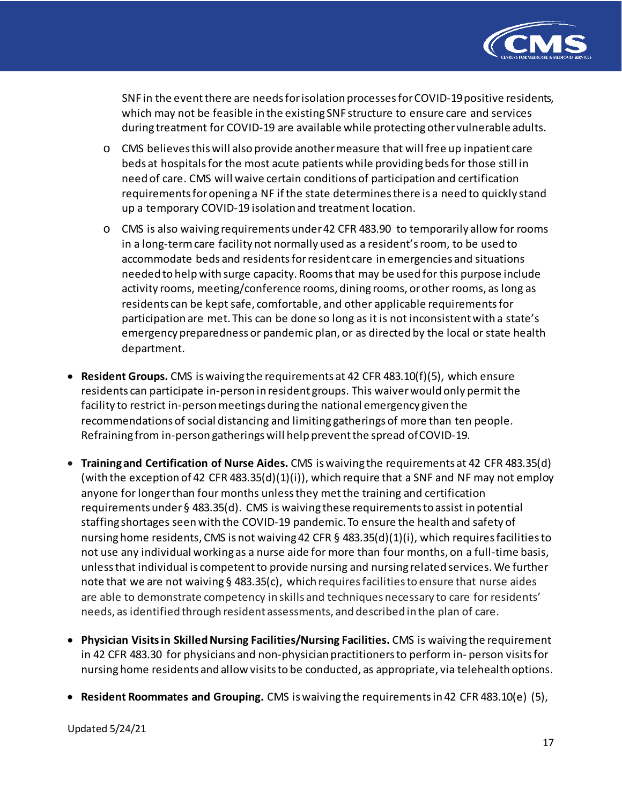

SNF in the eventthere are needsforisolation processesforCOVID-19positive residents, which may not be feasible in the existing SNF structure to ensure care and services during treatment for COVID-19 are available while protecting other vulnerable adults.

- o CMS believes this will also provide another measure that will free up inpatient care beds at hospitals for the most acute patients while providing beds for those still in need of care. CMS will waive certain conditions of participation and certification requirements for opening a NF if the state determines there is a need to quickly stand up a temporary COVID-19 isolation and treatment location.
- o CMS is also waiving requirements under 42 CFR 483.90 to temporarily allow for rooms in a long-term care facility not normally used as a resident's room, to be used to accommodate beds and residents for resident care in emergencies and situations needed to helpwith surge capacity. Roomsthat may be used for this purpose include activity rooms, meeting/conference rooms, dining rooms, orother rooms, as long as residents can be kept safe, comfortable, and other applicable requirements for participation are met. This can be done so long as it is not inconsistent with a state's emergency preparedness or pandemic plan, or as directed by the local or state health department.
- **Resident Groups.** CMS iswaiving the requirements at 42 CFR 483.10(f)(5), which ensure residents can participate in-person in resident groups. This waiver would only permit the facility to restrict in-person meetings during the national emergency given the recommendations of social distancing and limiting gatherings of more than ten people. Refraining from in-person gatherings will help prevent the spread ofCOVID-19.
- **Training and Certification of Nurse Aides.** CMS is waiving the requirements at 42 CFR 483.35(d) (with the exception of 42 CFR 483.35(d)(1)(i)), which require that a SNF and NF may not employ anyone for longer than four months unless they met the training and certification requirements under § 483.35(d). CMS is waiving these requirements to assist in potential staffing shortages seen with the COVID-19 pandemic. To ensure the health and safety of nursinghome residents, CMS is not waiving 42 CFR § 483.35(d)(1)(i), which requires facilities to not use any individual working as a nurse aide for more than four months, on a full-time basis, unless that individual is competent to provide nursing and nursing related services.We further note that we are not waiving § 483.35(c), which requires facilities to ensure that nurse aides are able to demonstrate competency in skills and techniques necessary to care for residents' needs, as identified through resident assessments, and described in the plan of care.
- **Physician Visits in Skilled Nursing Facilities/Nursing Facilities.** CMS is waiving the requirement in 42 CFR 483.30 for physicians and non-physician practitioners to perform in- person visitsfor nursinghome residents and allow visitsto be conducted, as appropriate, via telehealth options.
- **Resident Roommates and Grouping.** CMS is waiving the requirements in 42 CFR 483.10(e) (5),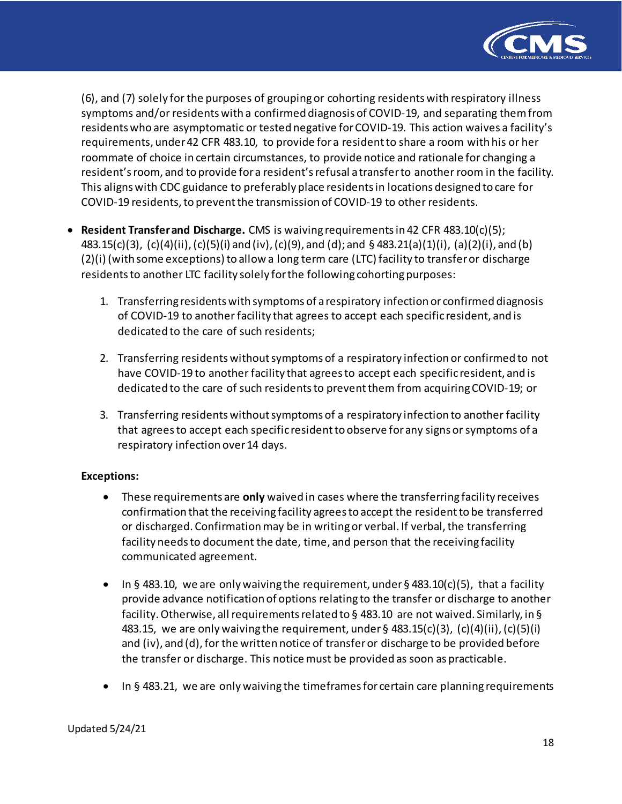

(6), and (7) solely for the purposes of grouping or cohorting residents with respiratory illness symptoms and/or residents with a confirmed diagnosis of COVID-19, and separating them from residents who are asymptomatic or tested negative for COVID-19. This action waives a facility's requirements, under 42 CFR 483.10, to provide for a resident to share a room with his or her roommate of choice in certain circumstances, to provide notice and rationale for changing a resident'sroom, and to provide fora resident'srefusal a transferto another room in the facility. This aligns with CDC guidance to preferably place residents in locations designed to care for COVID-19 residents, to prevent the transmission of COVID-19 to other residents.

- **Resident Transfer and Discharge.** CMS is waiving requirements in 42 CFR 483.10(c)(5); 483.15(c)(3), (c)(4)(ii), (c)(5)(i) and (iv), (c)(9), and (d); and § 483.21(a)(1)(i), (a)(2)(i), and (b) (2)(i) (with some exceptions) to allow a long term care (LTC) facility to transfer or discharge residents to another LTC facility solely for the following cohorting purposes:
	- 1. Transferring residents with symptoms of a respiratory infection or confirmed diagnosis of COVID-19 to another facility that agrees to accept each specific resident, and is dedicated to the care of such residents;
	- 2. Transferring residents without symptoms of a respiratory infection or confirmed to not have COVID-19 to another facility that agrees to accept each specific resident, and is dedicated to the care of such residents to prevent them from acquiring COVID-19; or
	- 3. Transferring residents without symptoms of a respiratory infection to another facility that agrees to accept each specific resident to observe for any signs or symptoms of a respiratory infection over 14 days.

#### **Exceptions:**

- These requirements are **only** waived in cases where the transferring facility receives confirmation that the receiving facility agreesto accept the residentto be transferred or discharged. Confirmation may be in writing or verbal. If verbal, the transferring facility needs to document the date, time, and person that the receiving facility communicated agreement.
- In § 483.10, we are only waiving the requirement, under § 483.10(c)(5), that a facility provide advance notification of options relating to the transfer or discharge to another facility. Otherwise, all requirements related to § 483.10 are not waived. Similarly, in § 483.15, we are only waiving the requirement, under  $\S$  483.15(c)(3), (c)(4)(ii), (c)(5)(i) and (iv), and (d), for the written notice of transfer or discharge to be provided before the transfer or discharge. This notice must be provided as soon as practicable.
- In § 483.21, we are only waiving the timeframes for certain care planning requirements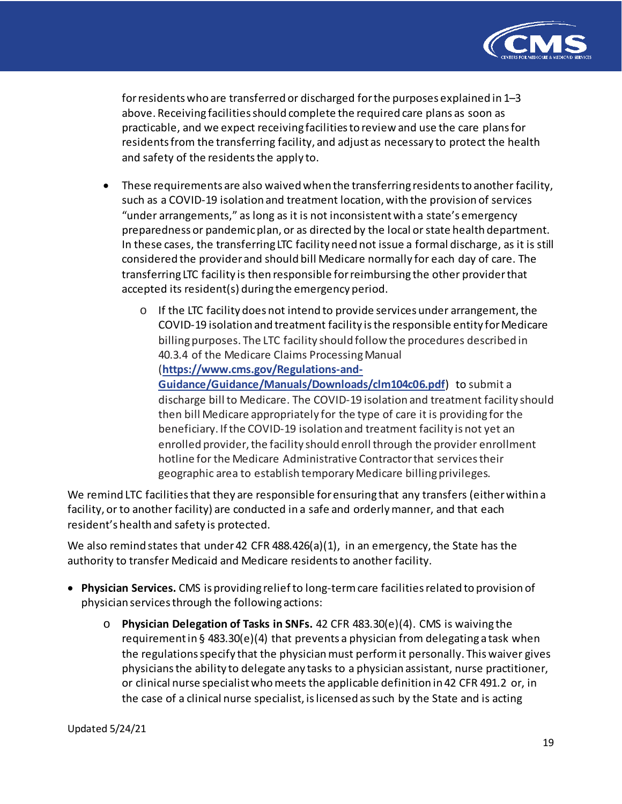

forresidents who are transferred or discharged forthe purposes explained in 1–3 above. Receiving facilities should complete the required care plans as soon as practicable, and we expect receiving facilities to review and use the care plans for residents from the transferring facility, and adjust as necessary to protect the health and safety of the residents the apply to.

- These requirements are also waived when the transferring residents to another facility, such as a COVID-19 isolation and treatment location, with the provision of services "under arrangements," as long as it is not inconsistent with a state's emergency preparedness or pandemicplan, or as directed by the local orstate health department. In these cases, the transferring LTC facility need not issue a formal discharge, as it is still considered the provider and should bill Medicare normally for each day of care. The transferring LTC facility is then responsible for reimbursing the other provider that accepted its resident(s) during the emergency period.
	- $\circ$  If the LTC facility does not intend to provide services under arrangement, the COVID-19 isolation and treatment facility is the responsible entity for Medicare billing purposes. The LTC facility should follow the procedures described in 40.3.4 of the Medicare Claims Processing Manual (**[https://www.cms.gov/Regulations-and-](https://www.cms.gov/Regulations-and-Guidance/Guidance/Manuals/Downloads/clm104c06.pdf)[Guidance/Guidance/Manuals/Downloads/clm104c06.pdf](https://www.cms.gov/Regulations-and-Guidance/Guidance/Manuals/Downloads/clm104c06.pdf)**) to submit a discharge bill to Medicare. The COVID-19 isolation and treatment facility should then bill Medicare appropriately for the type of care it is providing for the beneficiary. If the COVID-19 isolation and treatment facility is not yet an enrolled provider, the facility should enroll through the provider enrollment hotline for the Medicare Administrative Contractor that services their geographic area to establish temporary Medicare billing privileges.

We remind LTC facilities that they are responsible for ensuring that any transfers (either within a facility, or to another facility) are conducted in a safe and orderly manner, and that each resident's health and safety is protected.

We also remind states that under 42 CFR 488.426(a)(1), in an emergency, the State has the authority to transfer Medicaid and Medicare residents to another facility.

- **Physician Services.** CMS is providing relief to long-term care facilities related to provision of physician services through the following actions:
	- o **Physician Delegation of Tasks in SNFs.** 42 CFR 483.30(e)(4). CMS is waiving the requirement in § 483.30(e)(4) that prevents a physician from delegating a task when the regulations specify that the physician must perform it personally. This waiver gives physicians the ability to delegate any tasks to a physician assistant, nurse practitioner, or clinical nurse specialist who meets the applicable definition in 42 CFR 491.2 or, in the case of a clinical nurse specialist, is licensed as such by the State and is acting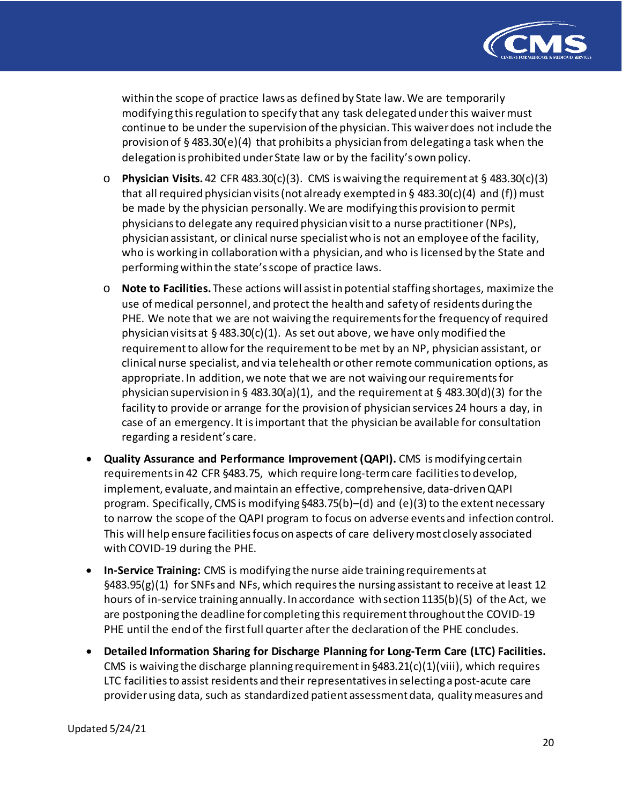

within the scope of practice laws as defined by State law. We are temporarily modifying this regulation to specify that any task delegated under this waiver must continue to be under the supervision of the physician. This waiver does not include the provision of § 483.30(e)(4) that prohibits a physician from delegating a task when the delegation is prohibited under State law or by the facility's own policy.

- o **Physician Visits.** 42 CFR 483.30(c)(3). CMS is waiving the requirement at § 483.30(c)(3) that all required physician visits (not already exempted in  $\S$  483.30(c)(4) and (f)) must be made by the physician personally. We are modifying this provision to permit physicians to delegate any required physician visit to a nurse practitioner (NPs), physician assistant, or clinical nurse specialistwho is not an employee of the facility, who is working in collaboration with a physician, and who is licensed by the State and performing within the state's scope of practice laws.
- o **Note to Facilities.** These actions will assist in potential staffing shortages, maximize the use of medical personnel, and protect the health and safety of residents during the PHE. We note that we are not waiving the requirements for the frequency of required physician visits at §483.30(c)(1). As set out above, we have only modified the requirement to allow for the requirement to be met by an NP, physician assistant, or clinical nurse specialist, and via telehealth or other remote communication options, as appropriate. In addition, we note that we are not waiving our requirements for physician supervision in § 483.30(a)(1), and the requirement at § 483.30(d)(3) for the facility to provide or arrange for the provision of physician services 24 hours a day, in case of an emergency. It is important that the physician be available for consultation regarding a resident's care.
- **Quality Assurance and Performance Improvement (QAPI).** CMS is modifying certain requirements in 42 CFR §483.75, which require long-term care facilities to develop, implement, evaluate, and maintain an effective, comprehensive, data-driven QAPI program. Specifically, CMS is modifying §483.75(b)–(d) and (e)(3) to the extent necessary to narrow the scope of the QAPI program to focus on adverse events and infection control. This will help ensure facilities focus on aspects of care delivery most closely associated with COVID-19 during the PHE.
- **In-Service Training:** CMS is modifying the nurse aide training requirements at  $§483.95(g)(1)$  for SNFs and NFs, which requires the nursing assistant to receive at least 12 hours of in-service training annually. In accordance with section 1135(b)(5) of the Act, we are postponing the deadline for completing this requirement throughout the COVID-19 PHE until the end of the first full quarter after the declaration of the PHE concludes.
- **Detailed Information Sharing for Discharge Planning for Long-Term Care (LTC) Facilities.** CMS is waiving the discharge planning requirement in §483.21(c)(1)(viii), which requires LTC facilities to assist residents and their representatives in selecting a post-acute care provider using data, such as standardized patient assessment data, quality measures and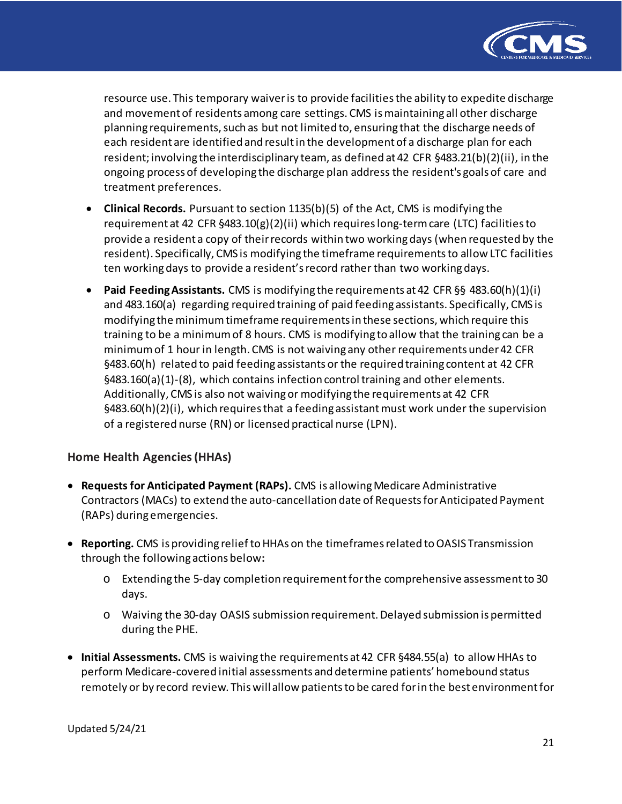

resource use. This temporary waiver is to provide facilities the ability to expedite discharge and movement of residents among care settings. CMS is maintaining all other discharge planning requirements, such as but not limited to, ensuring that the discharge needs of each resident are identified and result in the development of a discharge plan for each resident; involving the interdisciplinary team, as defined at 42 CFR §483.21(b)(2)(ii), in the ongoing process of developing the discharge plan address the resident's goals of care and treatment preferences.

- **Clinical Records.** Pursuant to section 1135(b)(5) of the Act, CMS is modifying the requirement at 42 CFR §483.10(g)(2)(ii) which requires long-term care (LTC) facilities to provide a resident a copy of their records within two working days (when requested by the resident). Specifically, CMS is modifying the timeframe requirements to allow LTC facilities ten working days to provide a resident's record rather than two working days.
- **Paid Feeding Assistants.** CMS is modifying the requirements at 42 CFR §§ 483.60(h)(1)(i) and 483.160(a) regarding required training of paid feeding assistants. Specifically, CMS is modifying the minimum timeframe requirements in these sections, which require this training to be a minimum of 8 hours. CMS is modifying to allow that the training can be a minimum of 1 hour in length. CMS is not waiving any other requirements under 42 CFR §483.60(h) related to paid feeding assistants or the required training content at 42 CFR §483.160(a)(1)-(8), which contains infection control training and other elements. Additionally, CMS is also not waiving or modifying the requirements at 42 CFR §483.60(h)(2)(i), which requires that a feeding assistant must work under the supervision of a registered nurse (RN) or licensed practical nurse (LPN).

## **Home Health Agencies (HHAs)**

- **Requests for Anticipated Payment (RAPs).** CMS is allowing Medicare Administrative Contractors (MACs) to extend the auto-cancellation date of Requests for Anticipated Payment (RAPs) during emergencies.
- **Reporting.** CMS is providing relief to HHAs on the timeframes related to OASIS Transmission through the following actions below**:**
	- o Extending the 5-day completion requirement for the comprehensive assessment to 30 days.
	- o Waiving the 30-day OASIS submission requirement. Delayed submission is permitted during the PHE.
- **Initial Assessments.** CMS is waiving the requirements at 42 CFR §484.55(a) to allow HHAs to perform Medicare-covered initial assessments and determine patients' homebound status remotely or by record review. Thiswillallow patientsto be cared forin the best environment for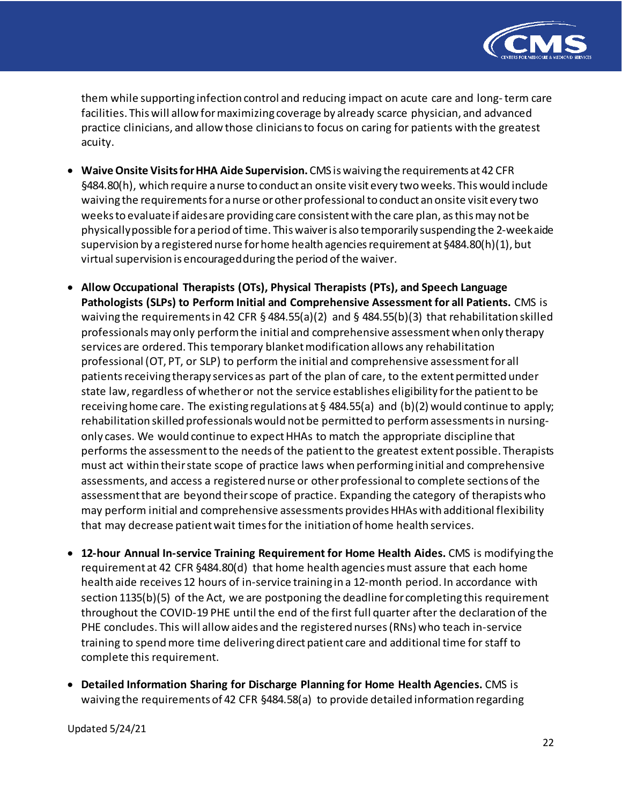

them while supporting infection control and reducing impact on acute care and long-term care facilities. This will allow for maximizing coverage by already scarce physician, and advanced practice clinicians, and allow those clinicians to focus on caring for patients with the greatest acuity.

- **Waive Onsite Visits forHHA Aide Supervision.**CMS is waiving the requirements at 42 CFR §484.80(h), which require a nurse to conduct an onsite visit every two weeks. This would include waiving the requirements for a nurse or other professional to conduct an onsite visit every two weeks to evaluate if aides are providing care consistent with the care plan, as this may not be physically possible for a period of time. This waiver is also temporarily suspending the 2-week aide supervision by a registered nurse for home health agencies requirement at §484.80(h)(1), but virtual supervision is encouraged during the period of the waiver.
- **Allow Occupational Therapists (OTs), Physical Therapists (PTs), and Speech Language Pathologists (SLPs) to Perform Initial and Comprehensive Assessment for all Patients.** CMS is waiving the requirements in 42 CFR § 484.55(a)(2) and § 484.55(b)(3) that rehabilitation skilled professionals may only perform the initial and comprehensive assessmentwhen only therapy services are ordered. This temporary blanket modification allows any rehabilitation professional (OT, PT, or SLP) to perform the initial and comprehensive assessment for all patients receiving therapy services as part of the plan of care, to the extent permitted under state law, regardless of whetheror not the service establishes eligibility for the patient to be receiving home care. The existing regulations at § 484.55(a) and (b)(2) would continue to apply; rehabilitation skilled professionals would not be permitted to perform assessments in nursingonly cases. We would continue to expect HHAs to match the appropriate discipline that performs the assessment to the needs of the patient to the greatest extent possible. Therapists must act within their state scope of practice laws when performing initial and comprehensive assessments, and access a registered nurse or other professional to complete sections of the assessment that are beyond their scope of practice. Expanding the category of therapists who may perform initial and comprehensive assessments provides HHAs with additional flexibility that may decrease patient wait times for the initiation of home health services.
- **12-hour Annual In-service Training Requirement for Home Health Aides.** CMS is modifying the requirement at 42 CFR §484.80(d) that home health agencies must assure that each home health aide receives 12 hours of in-service training in a 12-month period. In accordance with section 1135(b)(5) of the Act, we are postponing the deadline for completing this requirement throughout the COVID-19 PHE until the end of the first full quarter after the declaration of the PHE concludes. This will allow aides and the registered nurses (RNs) who teach in-service training to spend more time delivering direct patient care and additional time for staff to complete this requirement.
- **Detailed Information Sharing for Discharge Planning for Home Health Agencies.** CMS is waiving the requirements of 42 CFR §484.58(a) to provide detailed information regarding

Updated 5/24/21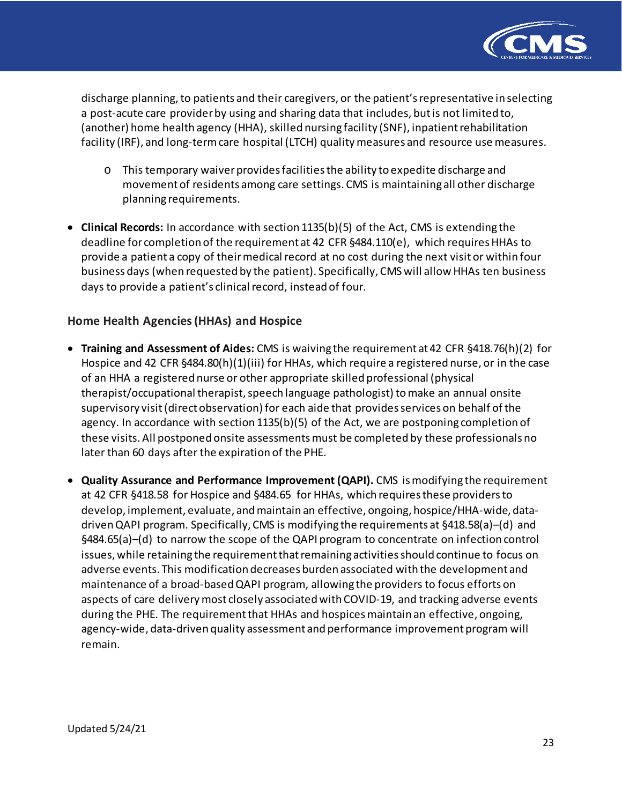

discharge planning, to patients and their caregivers, or the patient's representative in selecting a post-acute care provider by using and sharing data that includes, but is not limited to, (another) home health agency (HHA), skilled nursing facility (SNF), inpatient rehabilitation facility (IRF), and long-term care hospital (LTCH) quality measures and resource use measures.

- o This temporary waiver provides facilities the ability to expedite discharge and movement of residents among care settings. CMS is maintaining all other discharge planning requirements.
- **Clinical Records:** In accordance with section 1135(b)(5) of the Act, CMS is extending the deadline for completion of the requirement at 42 CFR §484.110(e), which requires HHAs to provide a patient a copy of their medical record at no cost during the next visit or within four business days (when requested by the patient). Specifically, CMS will allow HHAs ten business days to provide a patient's clinical record, instead of four.

# **Home Health Agencies (HHAs) and Hospice**

- **Training and Assessment of Aides:** CMS is waiving the requirement at 42 CFR §418.76(h)(2) for Hospice and 42 CFR §484.80(h)(1)(iii) for HHAs, which require a registered nurse, or in the case of an HHA a registered nurse or other appropriate skilled professional (physical therapist/occupational therapist, speech language pathologist) to make an annual onsite supervisory visit (direct observation) for each aide that provides services on behalf of the agency. In accordance with section 1135(b)(5) of the Act, we are postponing completion of these visits. All postponed onsite assessments must be completed by these professionals no later than 60 days after the expiration of the PHE.
- **Quality Assurance and Performance Improvement (QAPI).** CMS is modifying the requirement at 42 CFR §418.58 for Hospice and §484.65 for HHAs, which requires these providers to develop, implement, evaluate, and maintain an effective, ongoing, hospice/HHA-wide, datadriven QAPI program. Specifically, CMS is modifying the requirements at §418.58(a)–(d) and §484.65(a)–(d) to narrow the scope of the QAPI program to concentrate on infection control issues, while retaining the requirement that remaining activities should continue to focus on adverse events. This modification decreases burden associated with the development and maintenance of a broad-based QAPI program, allowing the providers to focus efforts on aspects of care delivery most closely associated with COVID-19, and tracking adverse events during the PHE. The requirement that HHAs and hospices maintain an effective, ongoing, agency-wide, data-driven quality assessment and performance improvement program will remain.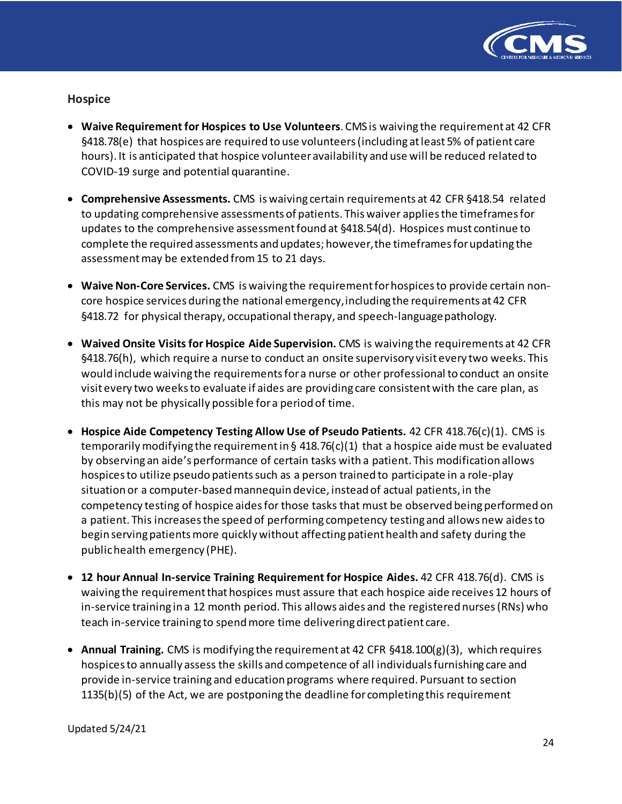

#### **Hospice**

- **Waive Requirement for Hospices to Use Volunteers**. CMS is waiving the requirement at 42 CFR §418.78(e) that hospices are required to use volunteers(including atleast 5% of patient care hours). It is anticipated that hospice volunteer availability and use will be reduced related to COVID-19 surge and potential quarantine.
- **Comprehensive Assessments.** CMS is waiving certain requirements at 42 CFR §418.54 related to updating comprehensive assessments of patients. This waiver applies the timeframes for updates to the comprehensive assessment found at §418.54(d). Hospices must continue to complete the required assessments and updates; however,the timeframes for updating the assessment may be extended from 15 to 21 days.
- **Waive Non-Core Services.** CMS is waiving the requirement for hospices to provide certain noncore hospice services during the national emergency,including the requirements at 42 CFR §418.72 for physical therapy, occupational therapy, and speech-language pathology.
- **Waived Onsite Visits for Hospice Aide Supervision.** CMS is waiving the requirements at 42 CFR §418.76(h), which require a nurse to conduct an onsite supervisory visit every two weeks. This would include waiving the requirements for a nurse or other professional to conduct an onsite visit every two weeks to evaluate if aides are providing care consistent with the care plan, as this may not be physically possible for a period of time.
- **Hospice Aide Competency Testing Allow Use of Pseudo Patients.** 42 CFR 418.76(c)(1). CMS is temporarily modifying the requirement in § 418.76(c)(1) that a hospice aide must be evaluated by observing an aide's performance of certain tasks with a patient. This modification allows hospices to utilize pseudo patients such as a person trained to participate in a role-play situation or a computer-basedmannequin device, instead of actual patients, in the competency testing of hospice aides for those tasks that must be observed being performed on a patient. This increases the speed of performing competency testing and allows new aides to begin serving patients more quickly without affecting patient health and safety during the public health emergency (PHE).
- **12 hour Annual In-service Training Requirement for Hospice Aides.** 42 CFR 418.76(d). CMS is waiving the requirement that hospices must assure that each hospice aide receives 12 hours of in-service training in a 12 month period. This allows aides and the registered nurses (RNs) who teach in-service training to spend more time delivering direct patient care.
- **Annual Training.** CMS is modifying the requirement at 42 CFR §418.100(g)(3), which requires hospices to annually assess the skills and competence of all individuals furnishing care and provide in-service training and education programs where required. Pursuant to section 1135(b)(5) of the Act, we are postponing the deadline for completing this requirement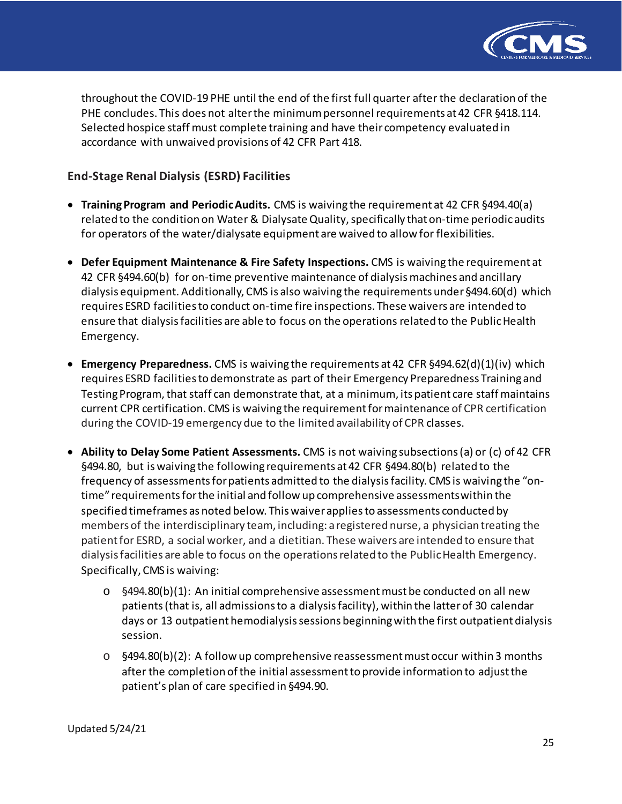

throughout the COVID-19 PHE until the end of the first full quarter after the declaration of the PHE concludes. This does not alter the minimum personnel requirements at 42 CFR §418.114. Selected hospice staff must complete training and have their competency evaluated in accordance with unwaived provisions of 42 CFR Part 418.

## **End-Stage Renal Dialysis (ESRD) Facilities**

- **TrainingProgram and PeriodicAudits.** CMS is waiving the requirement at 42 CFR §494.40(a) related to the condition on Water & Dialysate Quality, specifically that on-time periodic audits for operators of the water/dialysate equipment are waived to allow for flexibilities.
- **Defer Equipment Maintenance & Fire Safety Inspections.** CMS is waiving the requirement at 42 CFR §494.60(b) for on-time preventive maintenance of dialysis machines and ancillary dialysis equipment. Additionally, CMS is also waiving the requirements under §494.60(d) which requires ESRD facilities to conduct on-time fire inspections. These waivers are intended to ensure that dialysis facilities are able to focus on the operations related to the Public Health Emergency.
- **Emergency Preparedness.** CMS is waiving the requirements at 42 CFR §494.62(d)(1)(iv) which requires ESRD facilities to demonstrate as part of their Emergency Preparedness Training and Testing Program, that staff can demonstrate that, at a minimum, its patient care staff maintains current CPR certification. CMS is waiving the requirementformaintenance of CPR certification during the COVID-19 emergency due to the limited availability of CPR classes.
- **Ability to Delay Some Patient Assessments.** CMS is not waiving subsections (a) or (c) of 42 CFR §494.80, but is waiving the following requirements at 42 CFR §494.80(b) related to the frequency of assessments for patients admitted to the dialysis facility. CMS is waiving the "ontime" requirementsforthe initial and follow up comprehensive assessmentswithin the specified timeframes as noted below. Thiswaiverappliesto assessments conducted by members of the interdisciplinary team, including: a registered nurse, a physician treating the patient for ESRD, a social worker, and a dietitian. These waivers are intended to ensure that dialysis facilities are able to focus on the operations related to the Public Health Emergency. Specifically, CMS is waiving:
	- o §494.80(b)(1): An initial comprehensive assessment must be conducted on all new patients (that is, all admissions to a dialysis facility), within the latter of 30 calendar days or 13 outpatient hemodialysis sessions beginning with the first outpatient dialysis session.
	- $\circ$  §494.80(b)(2): A follow up comprehensive reassessment must occur within 3 months after the completion of the initial assessment to provide information to adjust the patient's plan of care specified in §494.90.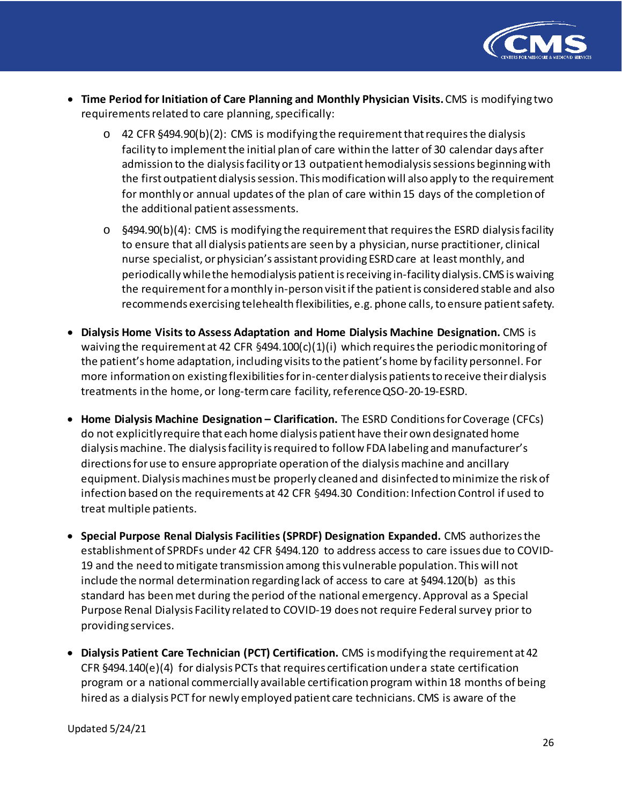

- **Time Period for Initiation of Care Planning and Monthly Physician Visits.**CMS is modifying two requirements related to care planning, specifically:
	- $\circ$  42 CFR §494.90(b)(2): CMS is modifying the requirement that requires the dialysis facility to implement the initial plan of care within the latter of 30 calendar days after admission to the dialysis facility or 13 outpatient hemodialysis sessions beginning with the first outpatient dialysis session. This modification will also apply to the requirement for monthly or annual updates of the plan of care within 15 days of the completion of the additional patient assessments.
	- $\circ$  §494.90(b)(4): CMS is modifying the requirement that requires the ESRD dialysis facility to ensure that all dialysis patients are seen by a physician, nurse practitioner, clinical nurse specialist, or physician's assistant providing ESRD care at least monthly, and periodically whilethe hemodialysis patientisreceiving in-facility dialysis.CMS iswaiving the requirementforamonthly in-person visitifthe patientis considered stable and also recommends exercising telehealth flexibilities, e.g. phone calls, to ensure patient safety.
- **Dialysis Home Visits to Assess Adaptation and Home Dialysis Machine Designation.** CMS is waiving the requirement at 42 CFR  $\S$ 494.100(c)(1)(i) which requires the periodic monitoring of the patient's home adaptation, including visitsto the patient's home by facility personnel. For more information on existing flexibilities for in-center dialysis patients to receive their dialysis treatments in the home, or long-term care facility, referenceQSO-20-19-ESRD.
- **Home Dialysis Machine Designation – Clarification.** The ESRD Conditions for Coverage (CFCs) do not explicitlyrequire that each home dialysis patient have theirown designated home dialysis machine. The dialysis facility is required to follow FDA labeling and manufacturer's directions for use to ensure appropriate operation of the dialysis machine and ancillary equipment. Dialysis machines must be properly cleaned and disinfected to minimize the risk of infection based on the requirements at 42 CFR §494.30 Condition: Infection Control if used to treat multiple patients.
- **Special Purpose Renal Dialysis Facilities (SPRDF) Designation Expanded.** CMS authorizes the establishment of SPRDFs under 42 CFR §494.120 to address access to care issues due to COVID-19 and the need tomitigate transmission among this vulnerable population. Thiswill not include the normal determination regarding lack of access to care at §494.120(b) as this standard has been met during the period of the national emergency. Approval as a Special Purpose Renal Dialysis Facility related to COVID-19 does not require Federal survey prior to providing services.
- **Dialysis Patient Care Technician (PCT) Certification.** CMS is modifying the requirement at 42 CFR §494.140(e)(4) for dialysis PCTs that requires certification under a state certification program or a national commercially available certification program within 18 months of being hired as a dialysis PCT for newly employed patient care technicians. CMS is aware of the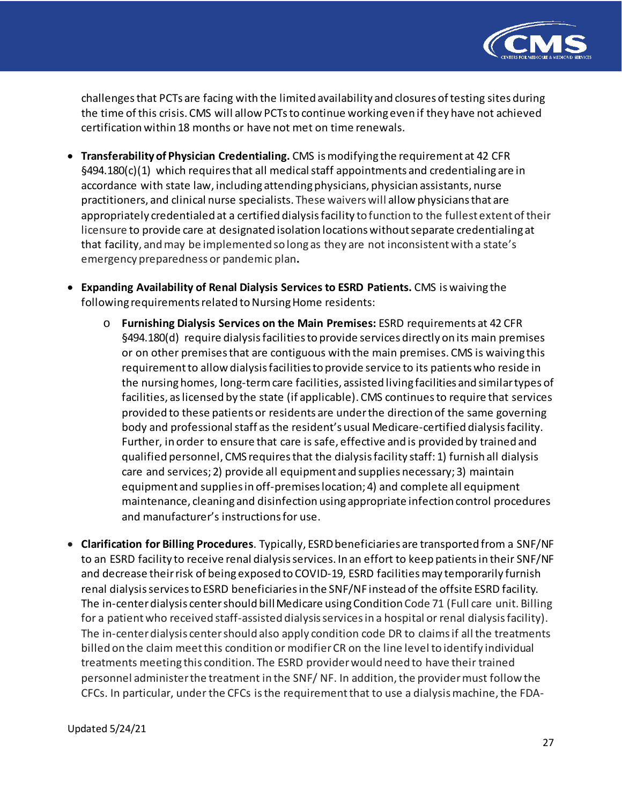

challenges that PCTs are facing with the limited availability and closures of testing sites during the time ofthis crisis. CMS will allow PCTsto continue working even if they have not achieved certification within 18 months or have not met on time renewals.

- **Transferability of Physician Credentialing.** CMS is modifying the requirement at 42 CFR  $§494.180(c)(1)$  which requires that all medical staff appointments and credentialing are in accordance with state law, including attending physicians, physician assistants, nurse practitioners, and clinical nurse specialists. These waivers will allow physicians that are appropriately credentialed at a certified dialysis facility to function to the fullest extent of their licensure to provide care at designated isolation locations without separate credentialing at that facility, and may be implemented so long as they are not inconsistent with a state's emergency preparedness or pandemic plan**.**
- **Expanding Availability of Renal Dialysis Services to ESRD Patients.** CMS iswaiving the following requirements related to Nursing Home residents:
	- o **Furnishing Dialysis Services on the Main Premises:** ESRD requirements at 42 CFR §494.180(d) require dialysis facilities to provide services directly on its main premises or on other premises that are contiguous with the main premises. CMS is waiving this requirement to allow dialysis facilities to provide service to its patients who reside in the nursing homes, long-term care facilities, assisted living facilities and similar types of facilities, as licensed by the state (if applicable). CMS continues to require that services provided to these patients or residents are under the direction of the same governing body and professional staff as the resident's usual Medicare-certified dialysis facility. Further, in order to ensure that care is safe, effective and is provided by trained and qualified personnel, CMS requires that the dialysis facility staff: 1) furnish all dialysis care and services; 2) provide all equipment and supplies necessary; 3) maintain equipment and supplies in off-premises location; 4) and complete all equipment maintenance, cleaning and disinfection using appropriate infection control procedures and manufacturer's instructions for use.
- **Clarification for Billing Procedures**. Typically, ESRD beneficiaries are transported from a SNF/NF to an ESRD facility to receive renal dialysis services. In an effort to keep patients in their SNF/NF and decrease theirrisk of being exposed to COVID-19, ESRD facilitiesmay temporarily furnish renal dialysis services to ESRD beneficiaries in the SNF/NF instead of the offsite ESRD facility. The in-center dialysis center should bill Medicare using Condition Code 71 (Full care unit. Billing for a patient who received staff-assisted dialysis services in a hospital or renal dialysis facility). The in-center dialysis center should also apply condition code DR to claims if all the treatments billed on the claim meet this condition or modifier CR on the line level to identify individual treatments meeting this condition. The ESRD provider would need to have their trained personnel administer the treatment in the SNF/ NF. In addition, the provider must follow the CFCs. In particular, under the CFCs is the requirement that to use a dialysis machine, the FDA-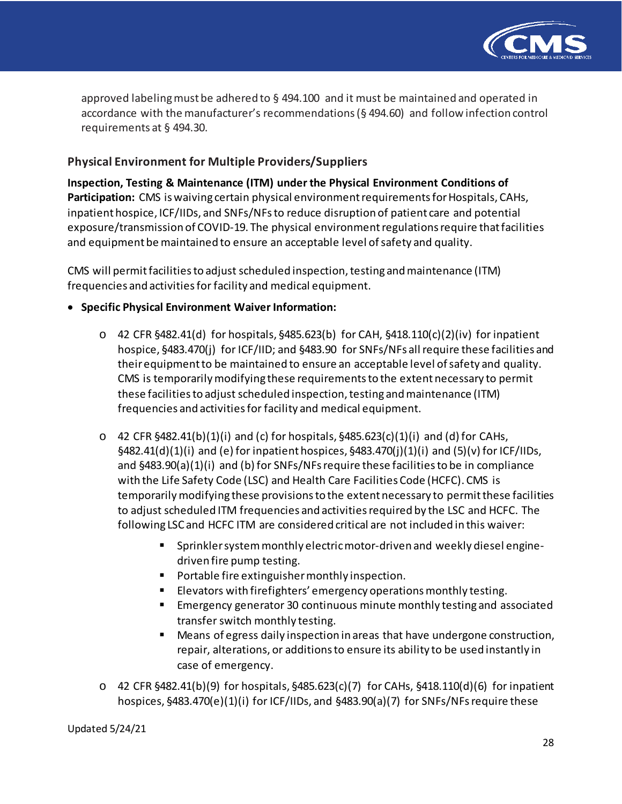

approved labeling must be adhered to  $\S$  494.100 and it must be maintained and operated in accordance with the manufacturer's recommendations (§ 494.60) and follow infection control requirements at § 494.30.

# **Physical Environment for Multiple Providers/Suppliers**

**Inspection, Testing & Maintenance (ITM) under the Physical Environment Conditions of Participation:** CMS is waiving certain physical environment requirements for Hospitals, CAHs, inpatient hospice, ICF/IIDs, and SNFs/NFs to reduce disruption of patient care and potential exposure/transmission of COVID-19. The physical environment regulations require that facilities and equipment be maintained to ensure an acceptable level of safety and quality.

CMS will permit facilities to adjust scheduled inspection, testing and maintenance (ITM) frequencies and activities for facility and medical equipment.

- **Specific Physical Environment Waiver Information:**
	- $\circ$  42 CFR §482.41(d) for hospitals, §485.623(b) for CAH, §418.110(c)(2)(iv) for inpatient hospice, §483.470(j) for ICF/IID; and §483.90 for SNFs/NFs all require these facilities and their equipment to be maintained to ensure an acceptable level of safety and quality. CMS is temporarily modifying these requirements to the extent necessary to permit these facilities to adjust scheduled inspection, testing and maintenance (ITM) frequencies and activities for facility and medical equipment.
	- $\circ$  42 CFR §482.41(b)(1)(i) and (c) for hospitals, §485.623(c)(1)(i) and (d) for CAHs,  $\frac{6482.41(d)(1)(i)}{2}$  and (e) for inpatient hospices,  $\frac{6483.470(i)(1)(i)}{2}$  and (5)(v) for ICF/IIDs, and  $\S 483.90(a)(1)(i)$  and (b) for SNFs/NFs require these facilities to be in compliance with the Life Safety Code (LSC) and Health Care Facilities Code (HCFC). CMS is temporarily modifying these provisions to the extent necessary to permit these facilities to adjust scheduled ITM frequencies and activities required by the LSC and HCFC. The following LSC and HCFC ITM are considered critical are not included in this waiver:
		- Sprinkler system monthly electric motor-driven and weekly diesel enginedriven fire pump testing.
		- **Portable fire extinguisher monthly inspection.**
		- Elevators with firefighters' emergency operations monthly testing.
		- **Emergency generator 30 continuous minute monthly testing and associated** transfer switch monthly testing.
		- Means of egress daily inspection in areas that have undergone construction, repair, alterations, or additions to ensure its ability to be used instantly in case of emergency.
	- o 42 CFR §482.41(b)(9) for hospitals, §485.623(c)(7) for CAHs, §418.110(d)(6) for inpatient hospices, §483.470(e)(1)(i) for ICF/IIDs, and §483.90(a)(7) for SNFs/NFs require these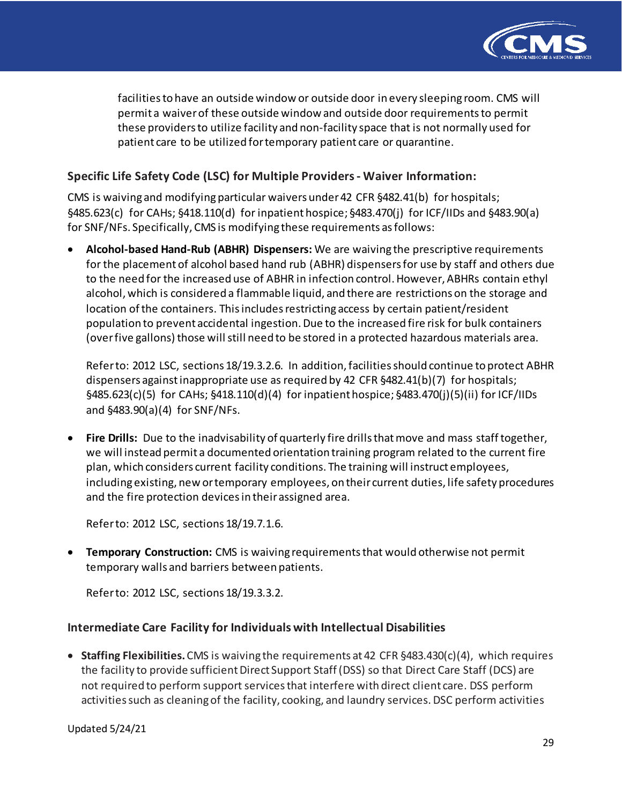

facilities to have an outside window or outside door in every sleeping room. CMS will permit a waiver of these outside window and outside door requirements to permit these providers to utilize facility and non-facility space that is not normally used for patient care to be utilized for temporary patient care or quarantine.

## **Specific Life Safety Code (LSC) for Multiple Providers - Waiver Information:**

CMS is waiving and modifying particular waivers under 42 CFR §482.41(b) for hospitals; §485.623(c) for CAHs; §418.110(d) for inpatient hospice; §483.470(j) for ICF/IIDs and §483.90(a) for SNF/NFs. Specifically, CMS is modifying these requirements as follows:

• **Alcohol-based Hand-Rub (ABHR) Dispensers:** We are waiving the prescriptive requirements for the placement of alcohol based hand rub (ABHR) dispensers for use by staff and others due to the need for the increased use of ABHR in infection control. However, ABHRs contain ethyl alcohol, which is considered a flammable liquid, and there are restrictions on the storage and location of the containers. This includes restricting access by certain patient/resident population to prevent accidental ingestion. Due to the increased fire risk for bulk containers (over five gallons) those will still need to be stored in a protected hazardous materials area.

Refer to: 2012 LSC, sections 18/19.3.2.6. In addition, facilities should continue to protect ABHR dispensers against inappropriate use as required by 42 CFR §482.41(b)(7) for hospitals; §485.623(c)(5) for CAHs; §418.110(d)(4) for inpatient hospice; §483.470(j)(5)(ii) for ICF/IIDs and §483.90(a)(4) for SNF/NFs.

• **Fire Drills:** Due to the inadvisability of quarterly fire drills that move and mass staff together, we will instead permit a documented orientation training program related to the current fire plan, which considers current facility conditions. The training will instruct employees, including existing, new or temporary employees, on their current duties, life safety procedures and the fire protection devices in their assigned area.

Refer to: 2012 LSC, sections 18/19.7.1.6.

• **Temporary Construction:** CMS is waiving requirements that would otherwise not permit temporary walls and barriers between patients.

Refer to: 2012 LSC, sections 18/19.3.3.2.

#### **Intermediate Care Facility for Individuals with Intellectual Disabilities**

• **Staffing Flexibilities.**CMS is waiving the requirements at 42 CFR §483.430(c)(4), which requires the facility to provide sufficient Direct Support Staff (DSS) so that Direct Care Staff (DCS) are not required to perform support services that interfere with direct client care. DSS perform activities such as cleaning of the facility, cooking, and laundry services. DSC perform activities

Updated 5/24/21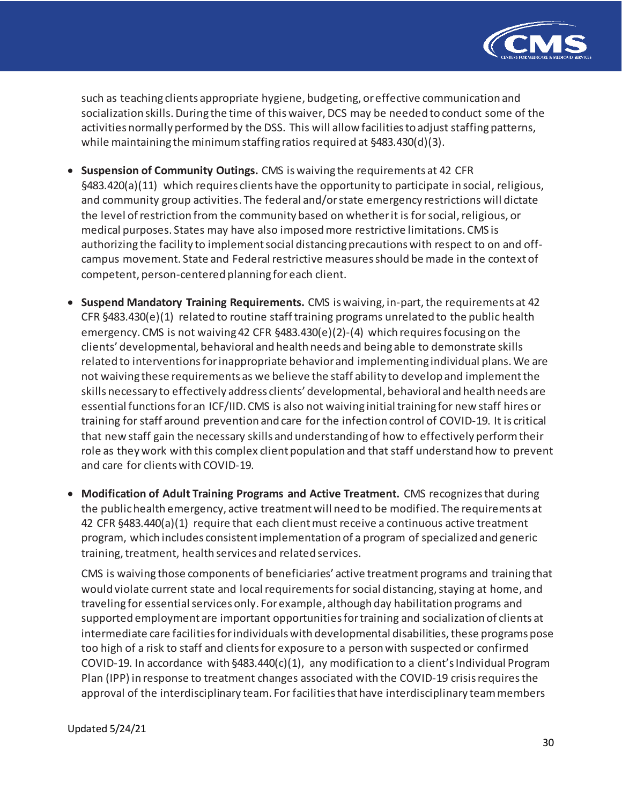

such as teaching clients appropriate hygiene, budgeting, or effective communication and socialization skills. During the time of this waiver, DCS may be needed to conduct some of the activities normally performed by the DSS. This will allow facilities to adjust staffing patterns, while maintaining the minimum staffing ratios required at §483.430(d)(3).

- **Suspension of Community Outings.** CMS is waiving the requirements at 42 CFR §483.420(a)(11) which requires clients have the opportunity to participate in social, religious, and community group activities. The federal and/or state emergency restrictions will dictate the level of restriction from the community based on whether it is for social, religious, or medical purposes. States may have also imposed more restrictive limitations. CMS is authorizing the facility to implement social distancing precautions with respect to on and offcampus movement. State and Federal restrictive measures should be made in the context of competent, person-centered planning for each client.
- **Suspend Mandatory Training Requirements.** CMS is waiving, in-part, the requirements at 42 CFR §483.430(e)(1) related to routine staff training programs unrelated to the public health emergency. CMS is not waiving 42 CFR §483.430(e)(2)-(4) which requires focusing on the clients' developmental, behavioral and health needs and being able to demonstrate skills related to interventions for inappropriate behavior and implementing individual plans. We are not waiving these requirements as we believe the staff ability to develop and implement the skills necessary to effectively address clients' developmental, behavioral and health needs are essential functions for an ICF/IID. CMS is also not waiving initial training for new staff hires or training for staff around prevention and care for the infection control of COVID-19. It is critical that new staff gain the necessary skills and understanding of how to effectively perform their role as they work with this complex client population and that staff understand how to prevent and care for clients with COVID-19.
- **Modification of Adult Training Programs and Active Treatment.** CMS recognizes that during the public health emergency, active treatment will need to be modified. The requirements at 42 CFR §483.440(a)(1) require that each client must receive a continuous active treatment program, which includes consistent implementation of a program of specialized and generic training, treatment, health services and related services.

CMS is waiving those components of beneficiaries' active treatment programs and training that would violate current state and local requirements for social distancing, staying at home, and traveling for essential services only. For example, although day habilitation programs and supported employment are important opportunities for training and socialization of clients at intermediate care facilities for individuals with developmental disabilities, these programs pose too high of a risk to staff and clients for exposure to a person with suspected or confirmed COVID-19. In accordance with  $\S 483.440(c)(1)$ , any modification to a client's Individual Program Plan (IPP) in response to treatment changes associated with the COVID-19 crisis requires the approval of the interdisciplinary team. For facilities that have interdisciplinary team members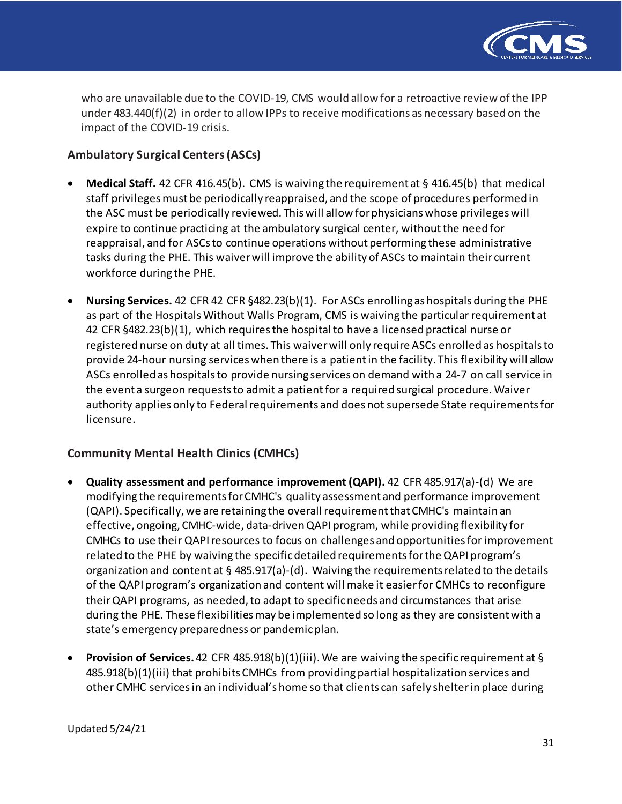

who are unavailable due to the COVID-19, CMS would allow for a retroactive review of the IPP under 483.440(f)(2) in order to allow IPPs to receive modifications as necessary based on the impact of the COVID-19 crisis.

# **Ambulatory Surgical Centers (ASCs)**

- **Medical Staff.** 42 CFR 416.45(b). CMS is waiving the requirement at § 416.45(b) that medical staff privileges must be periodically reappraised, and the scope of procedures performed in the ASC must be periodically reviewed. This will allow for physicians whose privileges will expire to continue practicing at the ambulatory surgical center, without the need for reappraisal, and for ASCs to continue operations without performing these administrative tasks during the PHE. This waiver will improve the ability of ASCs to maintain their current workforce during the PHE.
- **Nursing Services.** 42 CFR 42 CFR §482.23(b)(1). For ASCs enrolling as hospitals during the PHE as part of the Hospitals Without Walls Program, CMS is waiving the particular requirement at 42 CFR §482.23(b)(1), which requires the hospital to have a licensed practical nurse or registered nurse on duty at all times. This waiver will only require ASCs enrolled as hospitals to provide 24-hour nursing services when there is a patient in the facility. This flexibility will allow ASCs enrolled as hospitals to provide nursing services on demand with a 24-7 on call service in the event a surgeon requests to admit a patient for a required surgical procedure. Waiver authority applies only to Federal requirements and does not supersede State requirements for licensure.

## **Community Mental Health Clinics (CMHCs)**

- **Quality assessment and performance improvement (QAPI).** 42 CFR 485.917(a)-(d) We are modifying the requirements for CMHC's quality assessment and performance improvement (QAPI). Specifically, we are retaining the overall requirement that CMHC's maintain an effective, ongoing, CMHC-wide, data-driven QAPI program, while providing flexibility for CMHCs to use their QAPI resources to focus on challenges and opportunities for improvement related to the PHE by waiving the specific detailed requirements for the QAPI program's organization and content at § 485.917(a)-(d). Waiving the requirements related to the details of the QAPI program's organization and content will make it easier for CMHCs to reconfigure their QAPI programs, as needed, to adapt to specificneeds and circumstances that arise during the PHE. These flexibilities may be implemented so long as they are consistent with a state's emergency preparedness or pandemic plan.
- **Provision of Services.** 42 CFR 485.918(b)(1)(iii). We are waiving the specific requirement at § 485.918(b)(1)(iii) that prohibits CMHCs from providing partial hospitalization services and other CMHC services in an individual's home so that clients can safely shelter in place during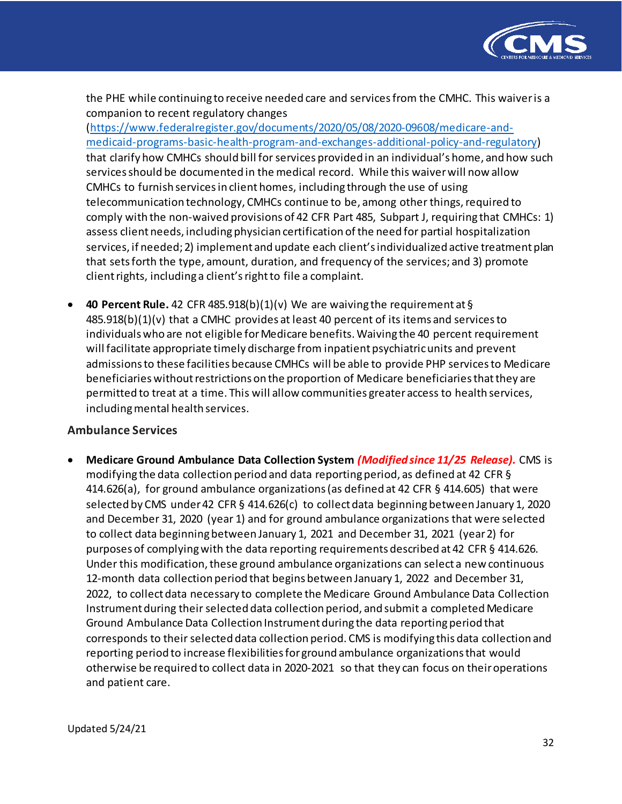

the PHE while continuing to receive needed care and services from the CMHC. This waiver is a companion to recent regulatory changes

[\(https://www.federalregister.gov/documents/2020/05/08/2020-09608/medicare-and](https://www.federalregister.gov/documents/2020/05/08/2020-09608/medicare-and-medicaid-programs-basic-health-program-and-exchanges-additional-policy-and-regulatory)[medicaid-programs-basic-health-program-and-exchanges-additional-policy-and-regulatory](https://www.federalregister.gov/documents/2020/05/08/2020-09608/medicare-and-medicaid-programs-basic-health-program-and-exchanges-additional-policy-and-regulatory)) that clarify how CMHCs should bill for services provided in an individual's home, and how such services should be documented in the medical record. While this waiver will now allow CMHCs to furnish services in client homes, including through the use of using telecommunication technology, CMHCs continue to be, among other things, required to comply with the non-waived provisions of 42 CFR Part 485, Subpart J, requiring that CMHCs: 1) assess client needs, including physician certification of the need for partial hospitalization services, if needed; 2) implement and update each client's individualized active treatment plan that sets forth the type, amount, duration, and frequency of the services; and 3) promote client rights, including a client's right to file a complaint.

• **40 Percent Rule.** 42 CFR 485.918(b)(1)(v) We are waiving the requirement at §  $485.918(b)(1)(v)$  that a CMHC provides at least 40 percent of its items and services to individuals who are not eligible for Medicare benefits. Waiving the 40 percent requirement will facilitate appropriate timely discharge from inpatient psychiatric units and prevent admissions to these facilities because CMHCs will be able to provide PHP services to Medicare beneficiaries without restrictions on the proportion of Medicare beneficiaries that they are permitted to treat at a time. This will allow communities greater access to health services, including mental health services.

## **Ambulance Services**

• **Medicare Ground Ambulance Data Collection System** *(Modified since 11/25 Release).* CMS is modifying the data collection period and data reporting period, as defined at 42 CFR § 414.626(a), for ground ambulance organizations (as defined at 42 CFR § 414.605) that were selected by CMS under 42 CFR § 414.626(c) to collect data beginning between January 1, 2020 and December 31, 2020 (year 1) and for ground ambulance organizations that were selected to collect data beginning between January 1, 2021 and December 31, 2021 (year 2) for purposes of complying with the data reporting requirements described at 42 CFR § 414.626. Under this modification, these ground ambulance organizations can select a new continuous 12-month data collection period that begins between January 1, 2022 and December 31, 2022, to collect data necessary to complete the Medicare Ground Ambulance Data Collection Instrument during their selected data collection period, and submit a completed Medicare Ground Ambulance Data Collection Instrument during the data reporting period that corresponds to their selected data collection period. CMS is modifying this data collection and reporting period to increase flexibilities for ground ambulance organizations that would otherwise be required to collect data in 2020-2021 so that they can focus on their operations and patient care.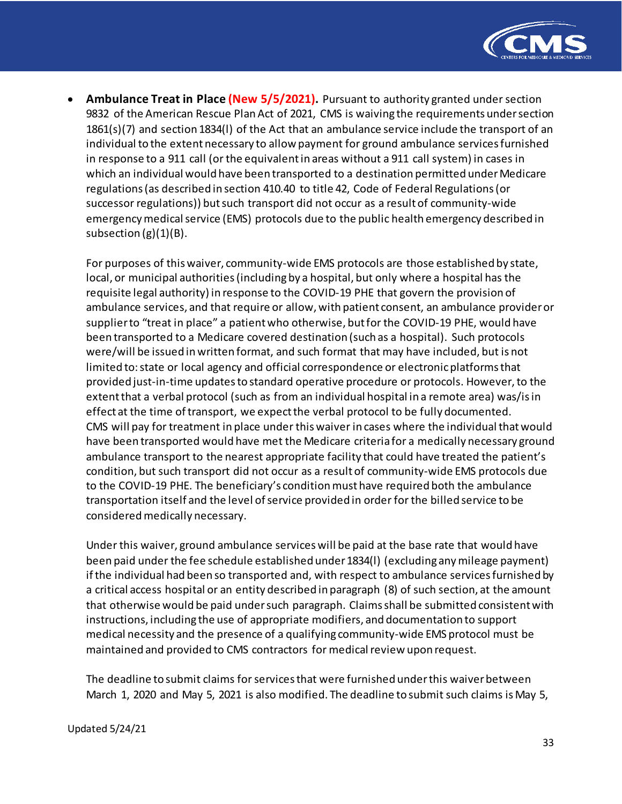

• **Ambulance Treat in Place (New 5/5/2021).** Pursuant to authority granted under section 9832 of the American Rescue Plan Act of 2021, CMS is waiving the requirements under section 1861(s)(7) and section 1834(l) of the Act that an ambulance service include the transport of an individual to the extent necessary to allow payment for ground ambulance services furnished in response to a 911 call (or the equivalent in areas without a 911 call system) in cases in which an individual would have been transported to a destination permitted under Medicare regulations (as described in section 410.40 to title 42, Code of Federal Regulations (or successor regulations)) but such transport did not occur as a result of community-wide emergency medical service (EMS) protocols due to the public health emergency described in subsection  $(g)(1)(B)$ .

For purposes of this waiver, community-wide EMS protocols are those established by state, local, or municipal authorities (including by a hospital, but only where a hospital has the requisite legal authority) in response to the COVID-19 PHE that govern the provision of ambulance services, and that require or allow, with patient consent, an ambulance provider or supplier to "treat in place" a patient who otherwise, but for the COVID-19 PHE, would have been transported to a Medicare covered destination (such as a hospital). Such protocols were/will be issued in written format, and such format that may have included, but is not limited to: state or local agency and official correspondence or electronic platforms that provided just-in-time updates to standard operative procedure or protocols. However, to the extent that a verbal protocol (such as from an individual hospital in a remote area) was/is in effect at the time of transport, we expect the verbal protocol to be fully documented. CMS will pay for treatment in place under this waiver in cases where the individual that would have been transported would have met the Medicare criteria for a medically necessary ground ambulance transport to the nearest appropriate facility that could have treated the patient's condition, but such transport did not occur as a result of community-wide EMS protocols due to the COVID-19 PHE. The beneficiary's condition must have required both the ambulance transportation itself and the level of service provided in order for the billed service to be considered medically necessary.

Under this waiver, ground ambulance services will be paid at the base rate that would have been paid under the fee schedule established under 1834(l) (excluding any mileage payment) if the individual had been so transported and, with respect to ambulance services furnished by a critical access hospital or an entity described in paragraph (8) of such section, at the amount that otherwise would be paid under such paragraph. Claims shall be submitted consistent with instructions, including the use of appropriate modifiers, and documentation to support medical necessity and the presence of a qualifying community-wide EMS protocol must be maintained and provided to CMS contractors for medical review upon request.

The deadline to submit claims for services that were furnished under this waiver between March 1, 2020 and May 5, 2021 is also modified. The deadline to submit such claims is May 5,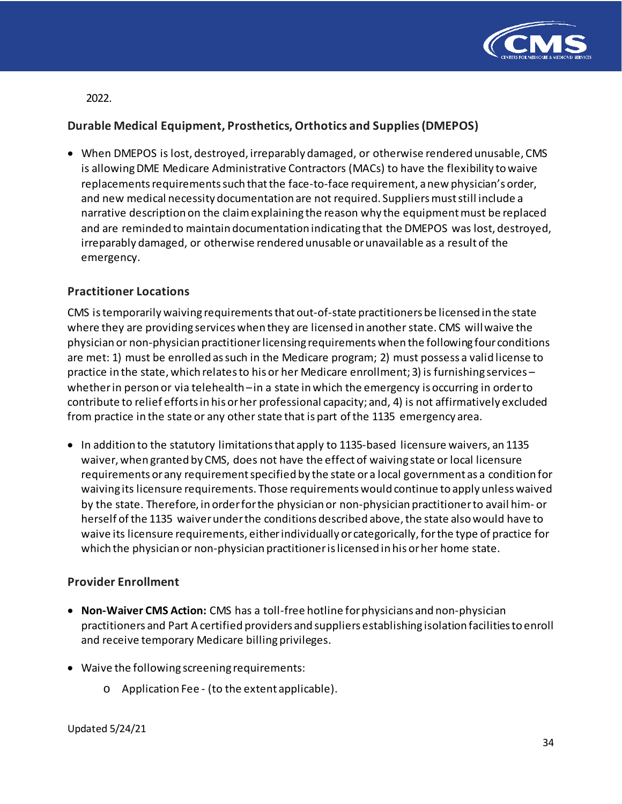

2022.

# **Durable Medical Equipment, Prosthetics, Orthotics and Supplies(DMEPOS)**

• When DMEPOS is lost, destroyed, irreparably damaged, or otherwise rendered unusable, CMS is allowing DME Medicare Administrative Contractors (MACs) to have the flexibility to waive replacements requirements such that the face-to-face requirement, a new physician's order, and new medical necessity documentation are not required. Suppliers must still include a narrative description on the claim explaining the reason why the equipment must be replaced and are reminded to maintain documentation indicating that the DMEPOS was lost, destroyed, irreparably damaged, or otherwise rendered unusable or unavailable as a result of the emergency.

# **Practitioner Locations**

CMS istemporarily waiving requirementsthatout-of-state practitioners be licensed in the state where they are providing services when they are licensed in another state. CMS willwaive the physician or non-physician practitionerlicensing requirementswhen the following four conditions are met: 1) must be enrolled as such in the Medicare program; 2) must possess a valid license to practice in the state, which relatesto his or her Medicare enrollment; 3) is furnishing services – whether in person or via telehealth – in a state in which the emergency is occurring in order to contribute to relief effortsin his orher professional capacity; and, 4) is not affirmatively excluded from practice in the state or any other state that is part of the 1135 emergency area.

• In addition to the statutory limitations that apply to 1135-based licensure waivers, an 1135 waiver, when granted by CMS, does not have the effect of waiving state or local licensure requirements orany requirementspecified by the state ora local government as a condition for waiving its licensure requirements. Those requirements would continue to apply unless waived by the state. Therefore, in order for the physician or non-physician practitioner to avail him- or herself of the 1135 waiver under the conditions described above, the state also would have to waive its licensure requirements, either individually or categorically, for the type of practice for which the physician or non-physician practitionerislicensed in his orher home state.

## **Provider Enrollment**

- **Non-Waiver CMS Action:** CMS has a toll-free hotline for physicians and non-physician practitioners and Part A certified providers and suppliers establishing isolation facilitiesto enroll and receive temporary Medicare billingprivileges.
- Waive the following screening requirements:
	- o Application Fee (to the extent applicable).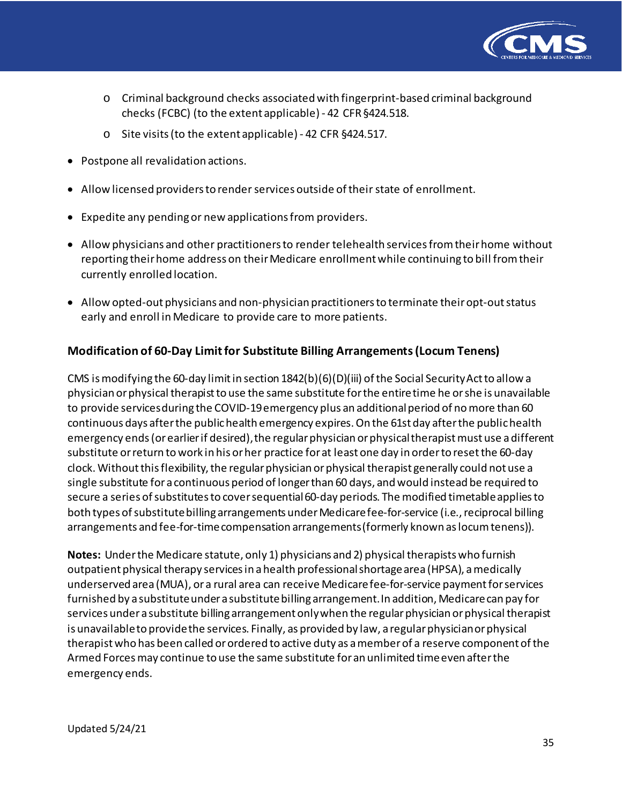

- o Criminal background checks associatedwith fingerprint-based criminal background checks (FCBC) (to the extent applicable) - 42 CFR§424.518.
- o Site visits (to the extent applicable) 42 CFR §424.517.
- Postpone all revalidation actions.
- Allow licensed providers to render services outside of their state of enrollment.
- Expedite any pending or new applications from providers.
- Allow physicians and other practitioners to render telehealth services from their home without reporting their home address on their Medicare enrollment while continuing to bill from their currently enrolled location.
- Allow opted-out physicians and non-physician practitionersto terminate theiropt-outstatus early and enroll in Medicare to provide care to more patients.

# **Modification of 60-Day Limitfor Substitute Billing Arrangements (Locum Tenens)**

CMS is modifying the 60-day limit in section  $1842(b)(6)(D)(iii)$  of the Social Security Act to allow a physician or physical therapistto use the same substitute for the entire time he or she is unavailable to provide services during the COVID-19 emergency plus an additional period of no more than 60 continuous days after the public health emergency expires. On the 61st day after the public health emergency ends (or earlier if desired), the regular physician or physical therapist must use a different substitute or return to work in his or her practice for at least one day in order to reset the 60-day clock. Without this flexibility, the regular physician or physical therapist generally could not use a single substitute for a continuous period of longer than 60 days, and would instead be required to secure a series of substitutes to cover sequential 60-day periods. The modified timetable applies to both types of substitute billing arrangements under Medicare fee-for-service (i.e., reciprocal billing arrangements and fee-for-time compensation arrangements (formerly known as locum tenens)).

**Notes:** Under the Medicare statute, only 1) physicians and 2) physical therapists who furnish outpatient physical therapy services in a health professional shortage area (HPSA), a medically underserved area (MUA), or a rural area can receive Medicare fee-for-service payment for services furnished by a substitute under a substitute billing arrangement. In addition, Medicare can pay for services under a substitute billing arrangement only when the regular physician or physical therapist is unavailable to provide the services. Finally, as provided by law, a regular physician or physical therapist who has been called or ordered to active duty as a member of a reserve component of the Armed Forces may continue to use the same substitute for an unlimited time even after the emergency ends.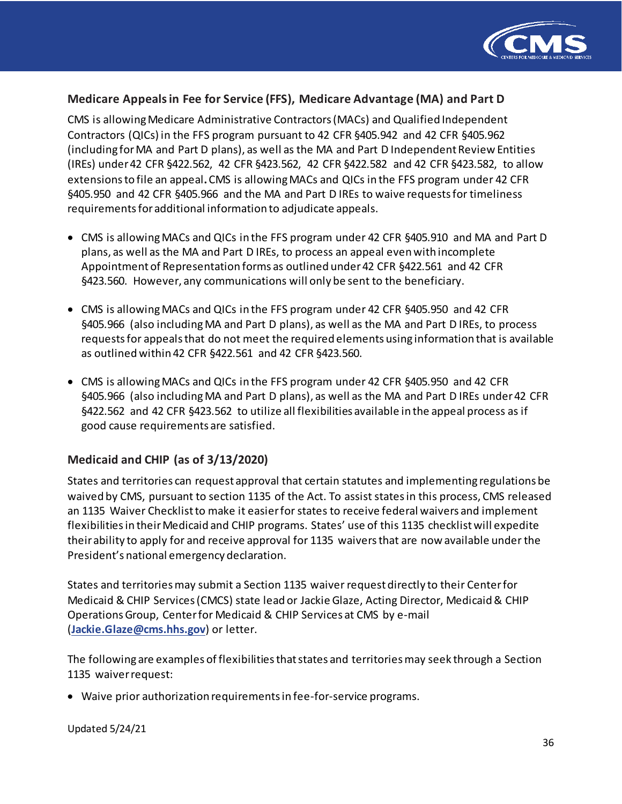

### **Medicare Appealsin Fee for Service (FFS), Medicare Advantage (MA) and Part D**

CMS is allowing Medicare Administrative Contractors (MACs) and Qualified Independent Contractors (QICs) in the FFS program pursuant to 42 CFR §405.942 and 42 CFR §405.962 (including for MA and Part D plans), as well as the MA and Part D Independent Review Entities (IREs) under 42 CFR §422.562, 42 CFR §423.562, 42 CFR §422.582 and 42 CFR §423.582, to allow extensions to file an appeal**.** CMS is allowing MACs and QICs in the FFS program under 42 CFR §405.950 and 42 CFR §405.966 and the MA and Part D IREs to waive requests for timeliness requirements for additional information to adjudicate appeals.

- CMS is allowing MACs and QICs in the FFS program under 42 CFR §405.910 and MA and Part D plans, as well as the MA and Part D IREs, to process an appeal evenwith incomplete Appointment of Representation forms as outlined under 42 CFR §422.561 and 42 CFR §423.560. However, any communications will only be sent to the beneficiary.
- CMS is allowing MACs and QICs in the FFS program under 42 CFR §405.950 and 42 CFR §405.966 (also including MA and Part D plans), as well as the MA and Part D IREs, to process requests for appeals that do not meet the required elements using information that is available as outlined within 42 CFR §422.561 and 42 CFR §423.560.
- CMS is allowing MACs and QICs in the FFS program under 42 CFR §405.950 and 42 CFR §405.966 (also including MA and Part D plans), as well as the MA and Part D IREs under 42 CFR §422.562 and 42 CFR §423.562 to utilize all flexibilities available in the appeal process as if good cause requirements are satisfied.

## **Medicaid and CHIP (as of 3/13/2020)**

States and territories can request approval that certain statutes and implementing regulations be waived by CMS, pursuant to section 1135 of the Act. To assist states in this process, CMS released an 1135 Waiver Checklist to make it easier for states to receive federal waivers and implement flexibilities in their Medicaid and CHIP programs. States' use of this 1135 checklist will expedite their ability to apply for and receive approval for 1135 waivers that are now available under the President's national emergency declaration.

States and territories may submit a Section 1135 waiver request directly to their Center for Medicaid & CHIP Services (CMCS) state lead or Jackie Glaze, Acting Director, Medicaid & CHIP Operations Group, Center for Medicaid & CHIP Services at CMS by e-mail (**[Jackie.Glaze@cms.hhs.gov](mailto:Jackie.Glaze@cms.hhs.gov)**) or letter.

The following are examples of flexibilities that states and territories may seek through a Section 1135 waiver request:

• Waive prior authorization requirements in fee-for-service programs.

Updated 5/24/21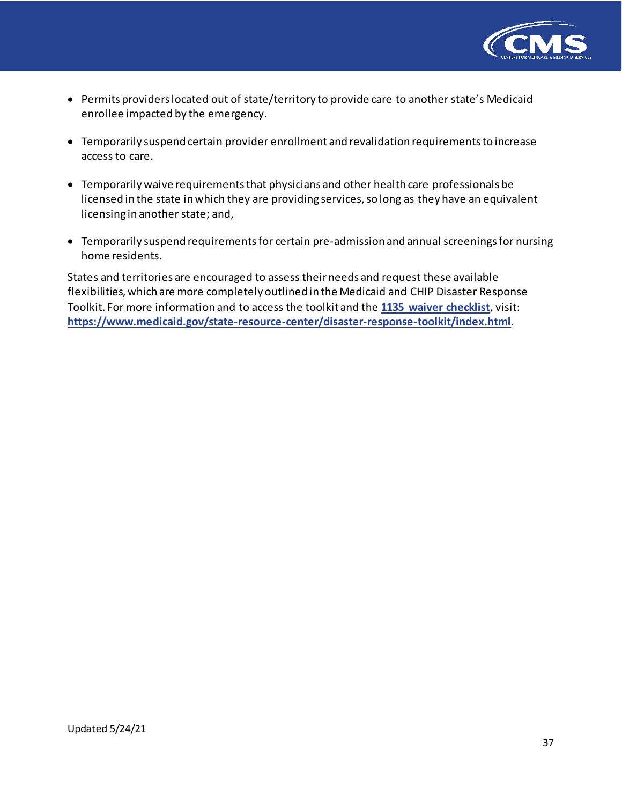

- Permits providers located out of state/territory to provide care to another state's Medicaid enrollee impacted by the emergency.
- Temporarily suspend certain provider enrollment and revalidation requirements to increase access to care.
- Temporarily waive requirements that physicians and other health care professionals be licensed in the state in which they are providing services, so long as they have an equivalent licensing in another state; and,
- Temporarily suspend requirements for certain pre-admission and annual screenings for nursing home residents.

States and territories are encouraged to assess their needs and request these available flexibilities, which are more completely outlined in the Medicaid and CHIP Disaster Response Toolkit. For more information and to access the toolkit and the **[1135 waiver checklist](https://www.medicaid.gov/state-resource-center/disaster-response-toolkit/cms-1135-waivers/index.html)**, visit: **<https://www.medicaid.gov/state-resource-center/disaster-response-toolkit/index.html>**.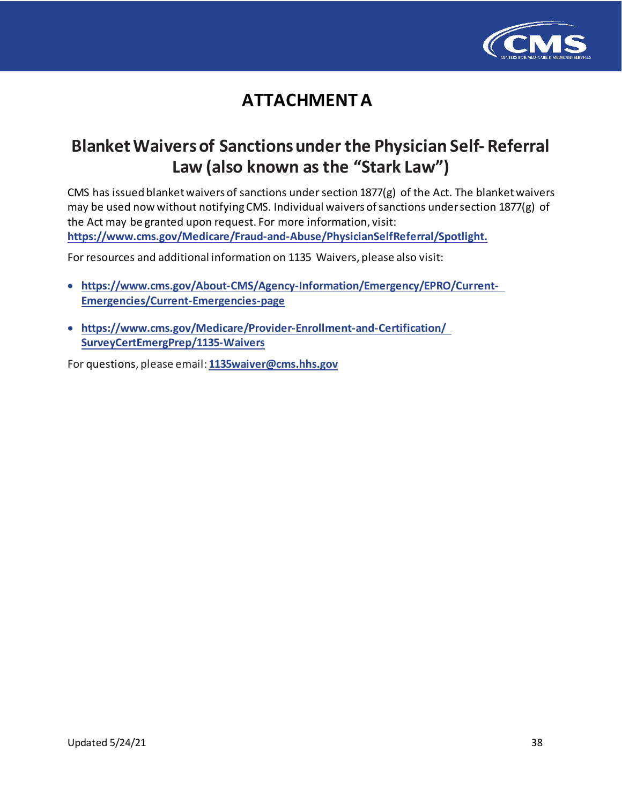

# **ATTACHMENT A**

# **Blanket Waivers of Sanctions under the Physician Self-Referral Law (also known as the "Stark Law")**

[CMS has issued blanket waivers of sanctions under section 1877\(g\) of the Act. The b](https://www.cms.gov/Medicare/Fraud-and-Abuse/PhysicianSelfReferral/Spotlight)lanket waivers may be used now without notifying CMS. Individual waivers of sanctions under sectio[n 1877\(g\) of](https://www.cms.gov/About-CMS/Agency-Information/Emergency/EPRO/Current-Emergencies/Current-Emergencies-page)  [the Act may be granted upon request. For more information, visit:](https://www.cms.gov/About-CMS/Agency-Information/Emergency/EPRO/Current-Emergencies/Current-Emergencies-page) **https://ww[w.cms.gov/Medicare/Fraud-and-Abuse/PhysicianSelfReferral/Spotlight.](https://www.cms.gov/About-CMS/Agency-Information/Emergency/EPRO/Current-Emergencies/Current-Emergencies-page)**

Fo[r resources and additional information on 1135 Waivers, please also visit:](https://www.cms.gov/Medicare/Provider-Enrollment-and-Certification/SurveyCertEmergPrep/1135-Waivers)

- **htt[ps://www.cms.gov/About-CMS/Agency-Information/Emergency/EPRO/Current-](http://www.cms.gov/About-CMS/Agency-Information/Emergency/EPRO/Current-)Emergencies/Current-Eme[rgencies-page](mailto:1135waiver@cms.hhs.gov)**
- **htt[ps://www.cms.gov/Medicare/Provider-Enrollment-and-Certification/](http://www.cms.gov/Medicare/Provider-Enrollment-and-Certification/) SurveyCertEmergPrep/1135-Waivers**

For questions, please email: **[1135waiver@cms.hhs.gov](mailto:1135waiver@cms.hhs.gov)**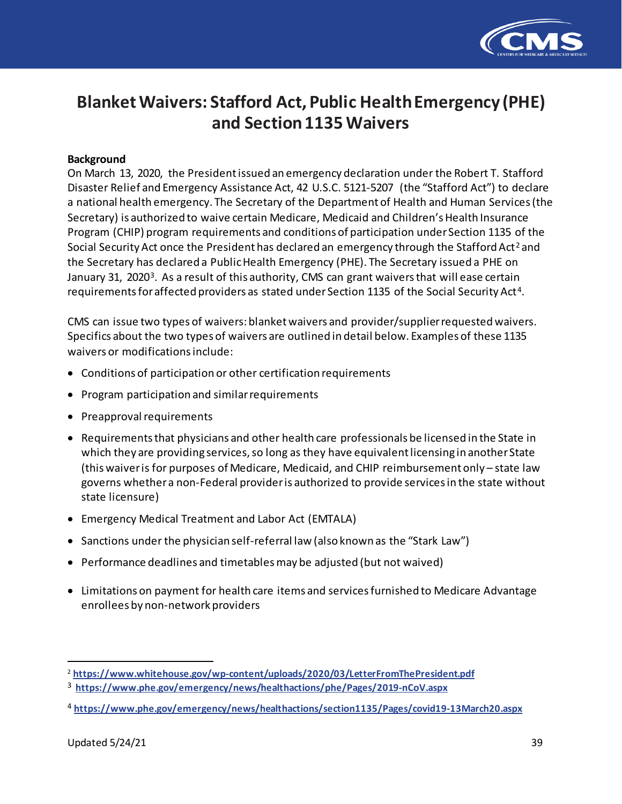

# **Blanket Waivers: Stafford Act, Public Health Emergency (PHE) and Section 1135 Waivers**

#### **Background**

On March 13, 2020, the President issued an emergency declaration under the Robert T. Stafford Disaster Relief and Emergency Assistance Act, 42 U.S.C. 5121-5207 (the "Stafford Act") to declare a national health emergency. The Secretary of the Department of Health and Human Services (the Secretary) is authorized to waive certain Medicare, Medicaid and Children's Health Insurance Program (CHIP) program requirements and conditions of participation under Section 1135 of the Social Security Act once the President has declared an emergency through the Stafford Act<sup>[2](#page-38-0)</sup> and the Secretary has declared a Public Health Emergency (PHE). The Secretary issued a PHE on January [3](#page-38-1)1, 2020<sup>3</sup>. As a result of this authority, CMS can grant waivers that will ease certain requirements for affected providers as stated under Section 1135 of the Social Security Act[4.](#page-38-2)

CMS can issue two types of waivers: blanket waivers and provider/supplier requested waivers. Specifics about the two types of waivers are outlined in detail below. Examples of these 1135 waivers or modifications include:

- Conditions of participation or other certification requirements
- Program participation and similar requirements
- Preapproval requirements
- Requirements that physicians and other health care professionals be licensed in the State in which they are providing services, so long as they have equivalent licensing in another State (this waiver is for purposes of Medicare, Medicaid, and CHIP reimbursement only – state law governs whether a non-Federal provider is authorized to provide services in the state without state licensure)
- Emergency Medical Treatment and Labor Act (EMTALA)
- Sanctions under the physician self-referral law (also known as the "Stark Law")
- Performance deadlines and timetables may be adjusted (but not waived)
- Limitations on payment for health care items and services furnished to Medicare Advantage enrollees by non-network providers

 $\overline{a}$ 

<span id="page-38-0"></span><sup>2</sup> **<https://www.whitehouse.gov/wp-content/uploads/2020/03/LetterFromThePresident.pdf>**

<span id="page-38-1"></span><sup>3</sup> **<https://www.phe.gov/emergency/news/healthactions/phe/Pages/2019-nCoV.aspx>**

<span id="page-38-2"></span><sup>4</sup> **<https://www.phe.gov/emergency/news/healthactions/section1135/Pages/covid19-13March20.aspx>**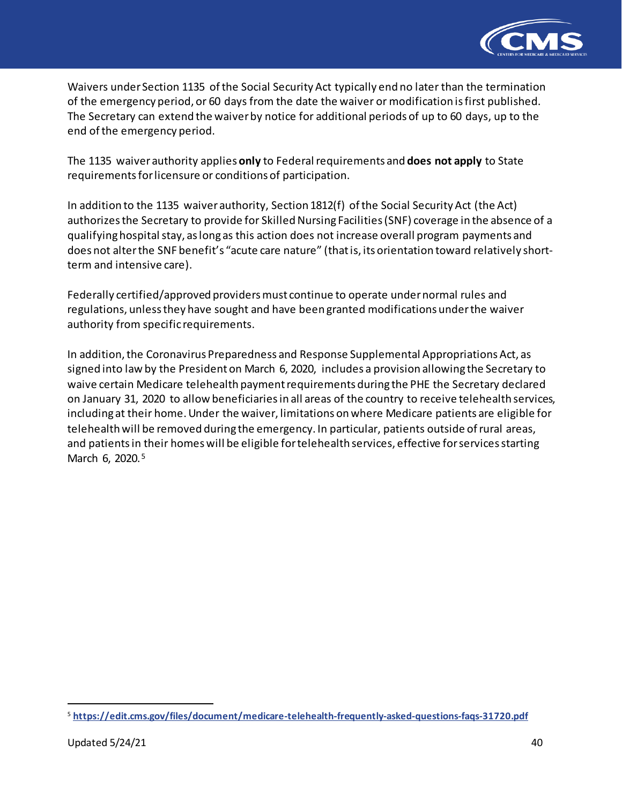

Waivers under Section 1135 of the Social Security Act typically end no later than the termination of the emergency period, or 60 days from the date the waiver or modification is first published. The Secretary can extend the waiver by notice for additional periods of up to 60 days, up to the end of the emergency period.

The 1135 waiver authority applies **only** to Federal requirements and **does not apply** to State requirementsfor licensure or conditions of participation.

In addition to the 1135 waiver authority, Section 1812(f) of the Social Security Act (the Act) authorizes the Secretary to provide for Skilled Nursing Facilities (SNF) coverage in the absence of a qualifying hospital stay, as long as this action does not increase overall program payments and does not alterthe SNF benefit's "acute care nature" (thatis, its orientation toward relatively shortterm and intensive care).

Federally certified/approved providers must continue to operate under normal rules and regulations, unlessthey have sought and have been granted modifications under the waiver authority from specific requirements.

In addition, the Coronavirus Preparedness and Response Supplemental Appropriations Act, as signed into law by the President on March 6, 2020, includes a provision allowing the Secretary to waive certain Medicare telehealth payment requirements during the PHE the Secretary declared on January 31, 2020 to allow beneficiaries in all areas of the country to receive telehealth services, including at their home. Under the waiver, limitations on where Medicare patients are eligible for telehealth will be removed during the emergency. In particular, patients outside of rural areas, and patients in their homes will be eligible for telehealth services, effective for services starting March 6, 2020.<sup>[5](#page-39-0)</sup>

 $\overline{a}$ 

<span id="page-39-0"></span><sup>5</sup> **<https://edit.cms.gov/files/document/medicare-telehealth-frequently-asked-questions-faqs-31720.pdf>**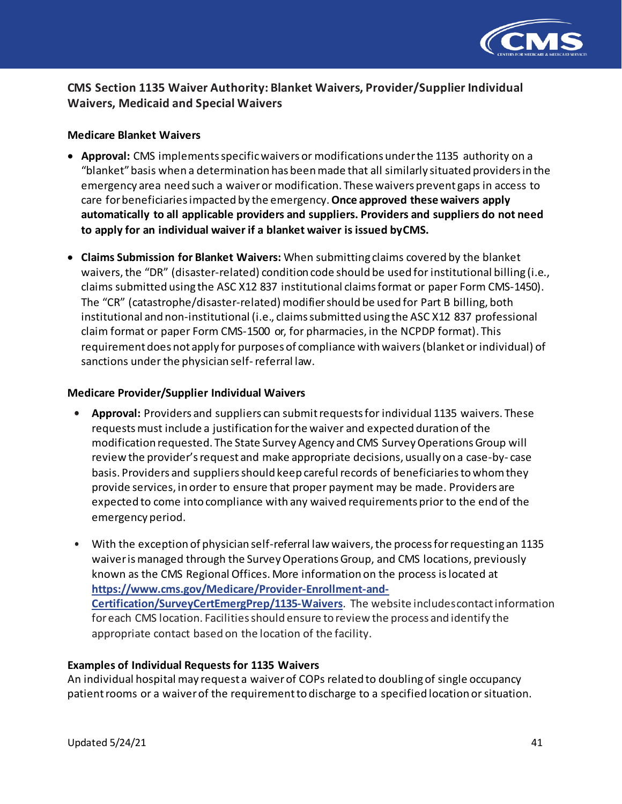

# **CMS Section 1135 Waiver Authority: Blanket Waivers, Provider/Supplier Individual Waivers, Medicaid and Special Waivers**

#### **Medicare Blanket Waivers**

- **Approval:** CMS implements specific waivers or modifications under the 1135 authority on a "blanket"basis when a determination has beenmade that all similarly situated providers in the emergency area need such a waiver or modification. These waivers prevent gaps in access to care for beneficiaries impacted by the emergency. **Once approved these waivers apply automatically to all applicable providers and suppliers. Providers and suppliers do not need to apply for an individual waiver if a blanket waiver is issued byCMS.**
- **Claims Submission for Blanket Waivers:** When submitting claims covered by the blanket waivers, the "DR" (disaster-related) condition code should be used for institutional billing (i.e., claims submitted using the ASC X12 837 institutional claims format or paper Form CMS-1450). The "CR" (catastrophe/disaster-related) modifier should be used for Part B billing, both institutional and non-institutional (i.e., claims submitted using the ASC X12 837 professional claim format or paper Form CMS-1500 or, for pharmacies, in the NCPDP format). This requirement does not apply for purposes of compliance withwaivers(blanket or individual) of sanctions under the physician self- referral law.

#### **Medicare Provider/Supplier Individual Waivers**

- **• Approval:** Providers and suppliers can submit requests for individual 1135 waivers. These requests must include a justification for the waiver and expected duration of the modification requested. The State Survey Agency and CMS SurveyOperationsGroup will review the provider's request and make appropriate decisions, usually on a case-by- case basis. Providers and suppliers should keep careful records of beneficiaries to whom they provide services, in order to ensure that proper payment may be made. Providers are expected to come into compliance with any waived requirements prior to the end of the emergency period.
- With the exception of physician self-referral law waivers, the process forrequesting an 1135 waiverismanaged through the SurveyOperationsGroup, and CMS locations, previously known as the CMS Regional Offices. More information on the process is located at **[https://www.cms.gov/Medicare/Provider-Enrollment-and-](https://www.cms.gov/Medicare/Provider-Enrollment-and-Certification/SurveyCertEmergPrep/1135-Waivers)[Certification/SurveyCertEmergPrep/1135-Waivers](https://www.cms.gov/Medicare/Provider-Enrollment-and-Certification/SurveyCertEmergPrep/1135-Waivers)**. The website includescontactinformation for each CMS location. Facilities should ensure to review the process and identify the appropriate contact based on the location of the facility.

#### **Examples of Individual Requests for 1135 Waivers**

An individual hospital may request a waiver of COPs related to doubling of single occupancy patient rooms or a waiver of the requirement to discharge to a specified location or situation.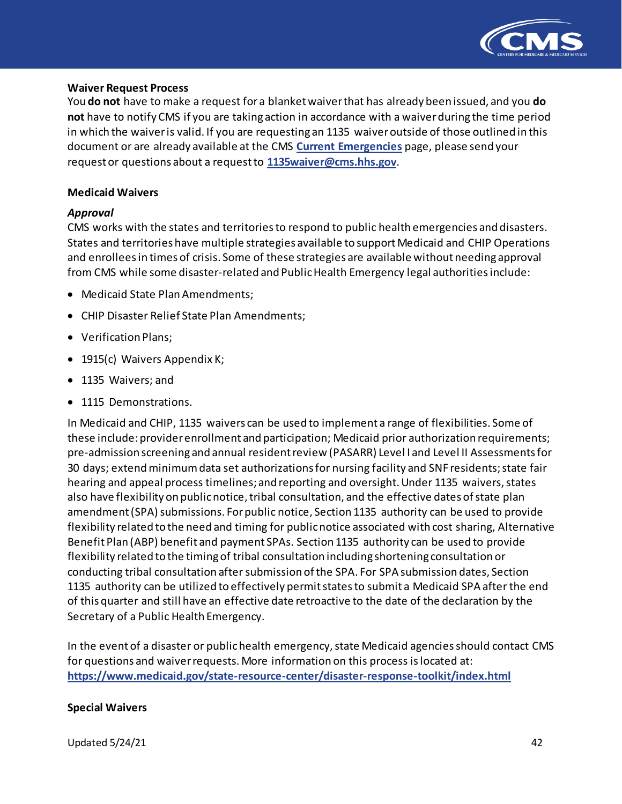

#### **Waiver Request Process**

You **do not** have to make a request for a blanket waiver that has already been issued, and you **do not** have to notify CMS if you are taking action in accordance with a waiverduring the time period in which the waiver is valid. If you are requesting an 1135 waiver outside of those outlined in this document or are already available at the CMS **[Current Emergencies](https://www.cms.gov/About-CMS/Agency-Information/Emergency/EPRO/Current-Emergencies/Current-Emergencies-page)** page, please send your request or questions about a request to **[1135waiver@cms.hhs.gov](mailto:1135waiver@cms.hhs.gov)**.

#### **Medicaid Waivers**

#### *Approval*

CMS works with the states and territories to respond to public health emergencies and disasters. States and territories have multiple strategies available to support Medicaid and CHIP Operations and enrolleesin times of crisis. Some of these strategies are available without needing approval from CMS while some disaster-related and Public Health Emergency legal authorities include:

- Medicaid State Plan Amendments;
- CHIP Disaster Relief State Plan Amendments;
- Verification Plans;
- 1915(c) Waivers Appendix K;
- 1135 Waivers; and
- 1115 Demonstrations.

In Medicaid and CHIP, 1135 waivers can be used to implement a range of flexibilities. Some of these include: provider enrollment and participation; Medicaid prior authorization requirements; pre-admission screening and annual resident review (PASARR) Level I and Level II Assessmentsfor 30 days; extend minimum data set authorizations for nursing facility and SNF residents; state fair hearing and appeal process timelines; and reporting and oversight. Under 1135 waivers, states also have flexibility on public notice, tribal consultation, and the effective dates of state plan amendment (SPA) submissions. For public notice, Section 1135 authority can be used to provide flexibility related to the need and timing for public notice associated with cost sharing, Alternative Benefit Plan (ABP) benefit and payment SPAs. Section 1135 authority can be used to provide flexibility related to the timing of tribal consultation including shortening consultation or conducting tribal consultation after submission of the SPA. For SPA submission dates, Section 1135 authority can be utilized to effectively permit states to submit a Medicaid SPA after the end of this quarter and still have an effective date retroactive to the date of the declaration by the Secretary of a Public Health Emergency.

In the event of a disaster or public health emergency, state Medicaid agencies should contact CMS for questions and waiver requests. More information on this process is located at: **<https://www.medicaid.gov/state-resource-center/disaster-response-toolkit/index.html>**

#### **Special Waivers**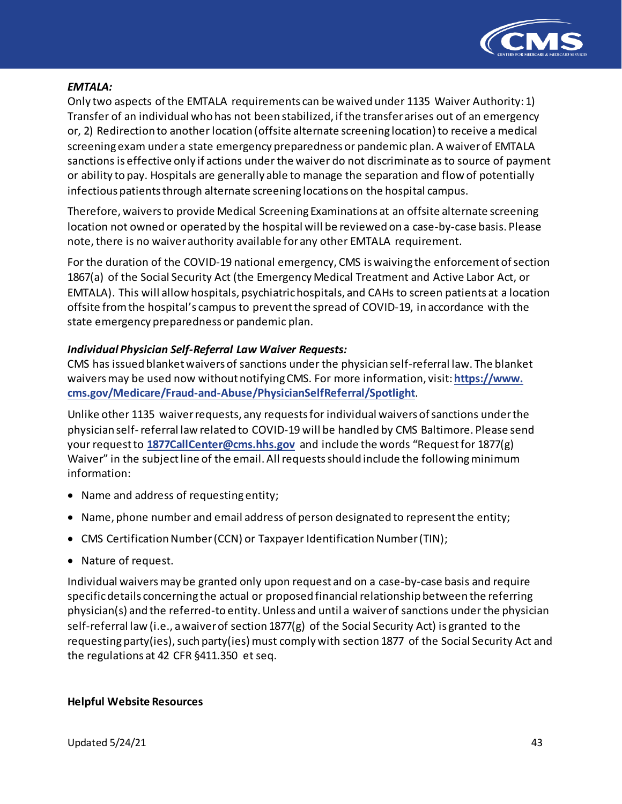

#### *EMTALA:*

Only two aspects of the EMTALA requirements can be waived under 1135 Waiver Authority: 1) Transfer of an individual who has not been stabilized, if the transfer arises out of an emergency or, 2) Redirection to another location (offsite alternate screening location) to receive a medical screening exam under a state emergency preparedness or pandemic plan. A waiver of EMTALA sanctions is effective only if actions under the waiver do not discriminate as to source of payment or ability to pay. Hospitals are generally able to manage the separation and flow of potentially infectious patients through alternate screening locations on the hospital campus.

Therefore, waivers to provide Medical Screening Examinations at an offsite alternate screening location not owned or operated by the hospital will be reviewed on a case-by-case basis. Please note, there is no waiver authority available for any other EMTALA requirement.

For the duration of the COVID-19 national emergency, CMS is waiving the enforcement of section 1867(a) of the Social Security Act (the Emergency Medical Treatment and Active Labor Act, or EMTALA). This will allow hospitals, psychiatric hospitals, and CAHs to screen patients at a location offsite from the hospital's campus to prevent the spread of COVID-19, in accordance with the state emergency preparedness or pandemic plan.

### *Individual Physician Self-Referral Law Waiver Requests:*

CMS has issued blanket waivers of sanctions under the physician self-referral law. The blanket waivers may be used now without notifying CMS. For more information, visit: **[https://www.](https://www.cms.gov/Medicare/Fraud-and-Abuse/PhysicianSelfReferral/Spotlight) [cms.gov/Medicare/Fraud-and-Abuse/PhysicianSelfReferral/Spotlight](https://www.cms.gov/Medicare/Fraud-and-Abuse/PhysicianSelfReferral/Spotlight)**.

Unlike other 1135 waiver requests, any requests for individual waivers of sanctions under the physician self- referral law related to COVID-19 will be handled by CMS Baltimore. Please send your requestto **[1877CallCenter@cms.hhs.gov](mailto:1877CallCenter@cms.hhs.gov)** and include the words "Request for 1877(g) Waiver" in the subject line of the email. All requests should include the following minimum information:

- Name and address of requesting entity;
- Name, phone number and email address of person designated to represent the entity;
- CMS Certification Number (CCN) or Taxpayer Identification Number (TIN);
- Nature of request.

Individual waivers may be granted only upon request and on a case-by-case basis and require specific details concerning the actual or proposed financial relationship between the referring physician(s) and the referred-to entity. Unless and until a waiver of sanctions under the physician self-referral law (i.e., a waiver of section 1877(g) of the Social Security Act) is granted to the requesting party(ies), such party(ies) must comply with section 1877 of the Social Security Act and the regulations at 42 CFR §411.350 et seq.

#### **Helpful Website Resources**